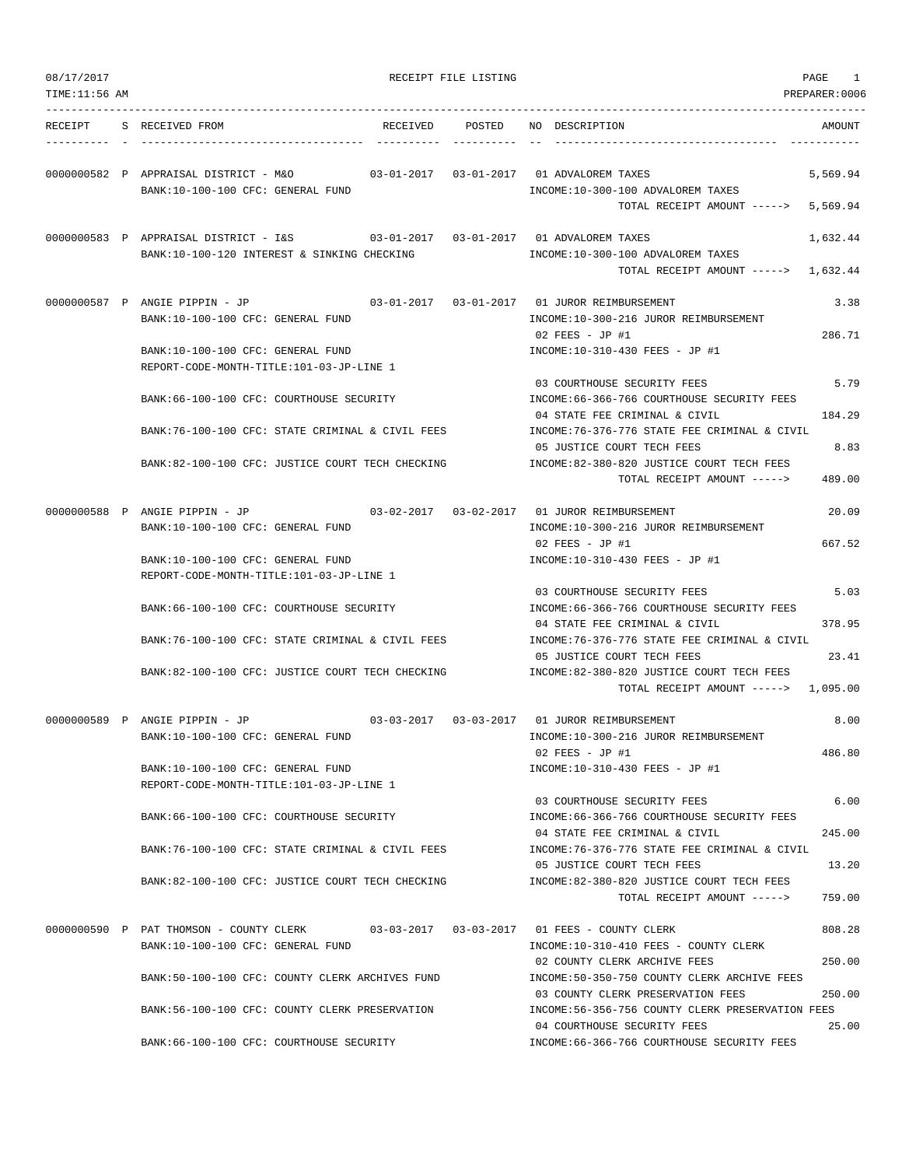| 08/17/2017<br>TIME:11:56 AM |                                                                                                                               | RECEIPT FILE LISTING |                                                                                                                  | PAGE<br>1<br>PREPARER: 0006 |
|-----------------------------|-------------------------------------------------------------------------------------------------------------------------------|----------------------|------------------------------------------------------------------------------------------------------------------|-----------------------------|
| RECEIPT                     | S RECEIVED FROM                                                                                                               | RECEIVED POSTED      | NO DESCRIPTION                                                                                                   | AMOUNT                      |
|                             | 0000000582 P APPRAISAL DISTRICT - M&O<br>BANK:10-100-100 CFC: GENERAL FUND                                                    |                      | INCOME:10-300-100 ADVALOREM TAXES<br>TOTAL RECEIPT AMOUNT ----->                                                 | 5,569.94<br>5,569.94        |
|                             | 0000000583 P APPRAISAL DISTRICT - I&S 03-01-2017 03-01-2017 01 ADVALOREM TAXES<br>BANK:10-100-120 INTEREST & SINKING CHECKING |                      | INCOME:10-300-100 ADVALOREM TAXES<br>TOTAL RECEIPT AMOUNT -----> 1,632.44                                        | 1,632.44                    |
|                             | 0000000587 P ANGIE PIPPIN - JP 03-01-2017 03-01-2017 01 JUROR REIMBURSEMENT<br>BANK:10-100-100 CFC: GENERAL FUND              |                      | INCOME:10-300-216 JUROR REIMBURSEMENT<br>$02$ FEES - JP #1                                                       | 3.38<br>286.71              |
|                             | BANK:10-100-100 CFC: GENERAL FUND<br>REPORT-CODE-MONTH-TITLE:101-03-JP-LINE 1                                                 |                      | INCOME:10-310-430 FEES - JP #1                                                                                   |                             |
|                             | BANK:66-100-100 CFC: COURTHOUSE SECURITY                                                                                      |                      | 03 COURTHOUSE SECURITY FEES<br>INCOME:66-366-766 COURTHOUSE SECURITY FEES                                        | 5.79                        |
|                             | BANK:76-100-100 CFC: STATE CRIMINAL & CIVIL FEES                                                                              |                      | 04 STATE FEE CRIMINAL & CIVIL<br>INCOME: 76-376-776 STATE FEE CRIMINAL & CIVIL                                   | 184.29                      |
|                             | BANK:82-100-100 CFC: JUSTICE COURT TECH CHECKING                                                                              |                      | 05 JUSTICE COURT TECH FEES<br>INCOME:82-380-820 JUSTICE COURT TECH FEES<br>TOTAL RECEIPT AMOUNT ----->           | 8.83<br>489.00              |
|                             | 0000000588 P ANGIE PIPPIN - JP                                                                                                |                      |                                                                                                                  | 20.09                       |
|                             | BANK:10-100-100 CFC: GENERAL FUND<br>BANK:10-100-100 CFC: GENERAL FUND<br>REPORT-CODE-MONTH-TITLE:101-03-JP-LINE 1            |                      | INCOME:10-300-216 JUROR REIMBURSEMENT<br>$02$ FEES - JP #1<br>INCOME:10-310-430 FEES - JP #1                     | 667.52                      |
|                             | BANK:66-100-100 CFC: COURTHOUSE SECURITY                                                                                      |                      | 03 COURTHOUSE SECURITY FEES<br>INCOME:66-366-766 COURTHOUSE SECURITY FEES                                        | 5.03                        |
|                             | BANK:76-100-100 CFC: STATE CRIMINAL & CIVIL FEES                                                                              |                      | 04 STATE FEE CRIMINAL & CIVIL<br>INCOME:76-376-776 STATE FEE CRIMINAL & CIVIL<br>05 JUSTICE COURT TECH FEES      | 378.95<br>23.41             |
|                             | BANK:82-100-100 CFC: JUSTICE COURT TECH CHECKING                                                                              |                      | INCOME:82-380-820 JUSTICE COURT TECH FEES<br>TOTAL RECEIPT AMOUNT -----> 1,095.00                                |                             |
|                             | 0000000589 P ANGIE PIPPIN - JP                                                                                                |                      | 03-03-2017  03-03-2017  01 JUROR REIMBURSEMENT                                                                   | 8.00                        |
|                             | BANK:10-100-100 CFC: GENERAL FUND<br>BANK:10-100-100 CFC: GENERAL FUND                                                        |                      | INCOME:10-300-216 JUROR REIMBURSEMENT<br>$02$ FEES - JP #1<br>INCOME:10-310-430 FEES - JP #1                     | 486.80                      |
|                             | REPORT-CODE-MONTH-TITLE:101-03-JP-LINE 1                                                                                      |                      | 03 COURTHOUSE SECURITY FEES                                                                                      | 6.00                        |
|                             | BANK:66-100-100 CFC: COURTHOUSE SECURITY<br>BANK:76-100-100 CFC: STATE CRIMINAL & CIVIL FEES                                  |                      | INCOME: 66-366-766 COURTHOUSE SECURITY FEES<br>04 STATE FEE CRIMINAL & CIVIL                                     | 245.00                      |
|                             |                                                                                                                               |                      | INCOME: 76-376-776 STATE FEE CRIMINAL & CIVIL<br>05 JUSTICE COURT TECH FEES                                      | 13.20                       |
|                             | BANK:82-100-100 CFC: JUSTICE COURT TECH CHECKING                                                                              |                      | INCOME:82-380-820 JUSTICE COURT TECH FEES<br>TOTAL RECEIPT AMOUNT ----->                                         | 759.00                      |
|                             | 0000000590 P PAT THOMSON - COUNTY CLERK<br>BANK:10-100-100 CFC: GENERAL FUND                                                  |                      | 03-03-2017  03-03-2017  01 FEES - COUNTY CLERK<br>INCOME:10-310-410 FEES - COUNTY CLERK                          | 808.28                      |
|                             | BANK:50-100-100 CFC: COUNTY CLERK ARCHIVES FUND                                                                               |                      | 02 COUNTY CLERK ARCHIVE FEES<br>INCOME:50-350-750 COUNTY CLERK ARCHIVE FEES<br>03 COUNTY CLERK PRESERVATION FEES | 250.00<br>250.00            |
|                             | BANK:56-100-100 CFC: COUNTY CLERK PRESERVATION                                                                                |                      | INCOME: 56-356-756 COUNTY CLERK PRESERVATION FEES<br>04 COURTHOUSE SECURITY FEES                                 | 25.00                       |
|                             | BANK:66-100-100 CFC: COURTHOUSE SECURITY                                                                                      |                      | INCOME: 66-366-766 COURTHOUSE SECURITY FEES                                                                      |                             |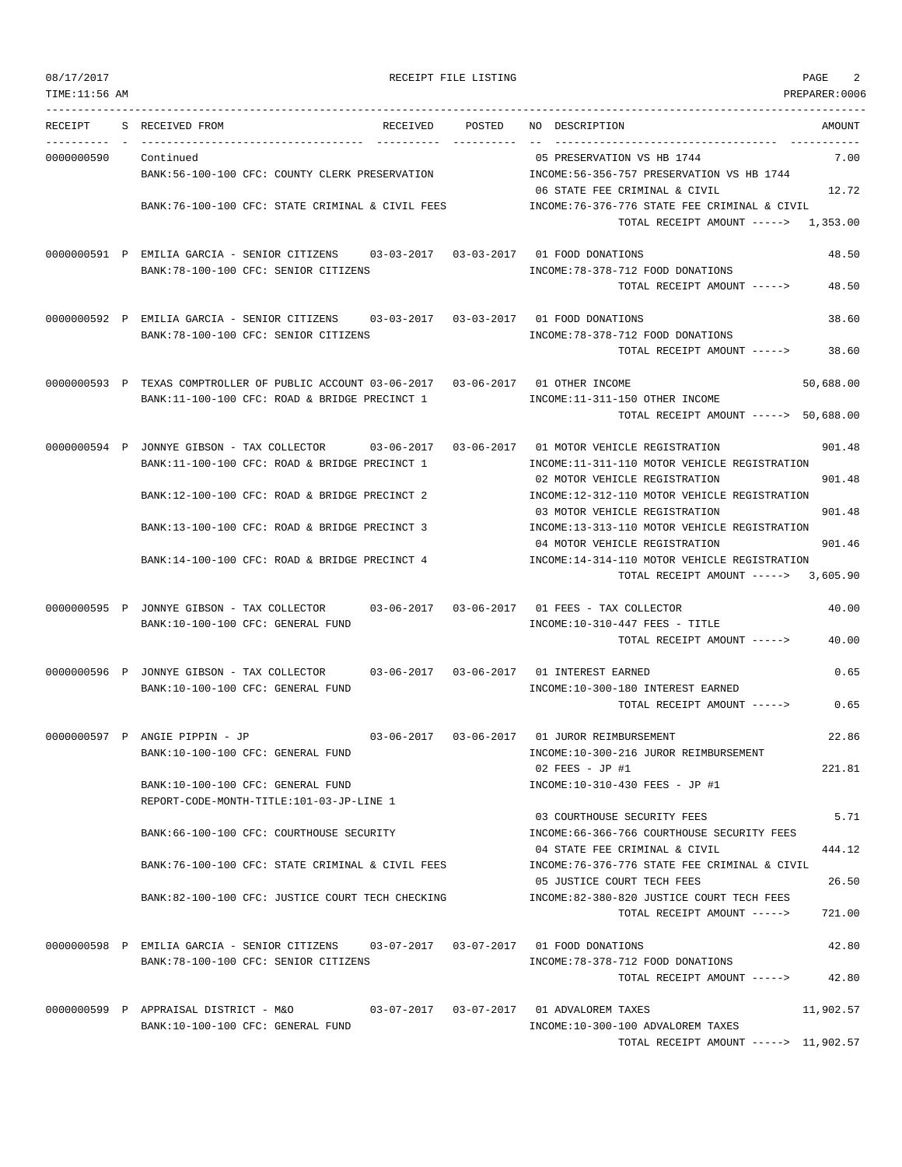| 08/17/2017 | RECEIPT FILE LISTING | PAGE |
|------------|----------------------|------|
|------------|----------------------|------|

| TIME:11:56 AM             |                                                                                                |        |                                                                               | PREPARER:0006 |
|---------------------------|------------------------------------------------------------------------------------------------|--------|-------------------------------------------------------------------------------|---------------|
| RECEIPT                   | S RECEIVED FROM<br>RECEIVED                                                                    | POSTED | NO DESCRIPTION<br>------------------------------------                        | AMOUNT        |
| --------- -<br>0000000590 | Continued                                                                                      |        | 05 PRESERVATION VS HB 1744                                                    | 7.00          |
|                           | BANK:56-100-100 CFC: COUNTY CLERK PRESERVATION                                                 |        | INCOME: 56-356-757 PRESERVATION VS HB 1744                                    |               |
|                           |                                                                                                |        | 06 STATE FEE CRIMINAL & CIVIL                                                 | 12.72         |
|                           | BANK:76-100-100 CFC: STATE CRIMINAL & CIVIL FEES                                               |        | INCOME:76-376-776 STATE FEE CRIMINAL & CIVIL                                  |               |
|                           |                                                                                                |        | TOTAL RECEIPT AMOUNT -----> 1,353.00                                          |               |
|                           | 0000000591 P EMILIA GARCIA - SENIOR CITIZENS 03-03-2017 03-03-2017 01 FOOD DONATIONS           |        |                                                                               | 48.50         |
|                           | BANK:78-100-100 CFC: SENIOR CITIZENS                                                           |        | INCOME: 78-378-712 FOOD DONATIONS                                             |               |
|                           |                                                                                                |        | TOTAL RECEIPT AMOUNT ----->                                                   | 48.50         |
|                           | 0000000592 P EMILIA GARCIA - SENIOR CITIZENS                                                   |        |                                                                               | 38.60         |
|                           | BANK:78-100-100 CFC: SENIOR CITIZENS                                                           |        | INCOME: 78-378-712 FOOD DONATIONS                                             |               |
|                           |                                                                                                |        | TOTAL RECEIPT AMOUNT ----->                                                   | 38.60         |
|                           | 0000000593 P TEXAS COMPTROLLER OF PUBLIC ACCOUNT 03-06-2017 03-06-2017 01 OTHER INCOME         |        |                                                                               | 50,688.00     |
|                           | BANK:11-100-100 CFC: ROAD & BRIDGE PRECINCT 1                                                  |        | INCOME:11-311-150 OTHER INCOME                                                |               |
|                           |                                                                                                |        | TOTAL RECEIPT AMOUNT -----> 50,688.00                                         |               |
|                           | 0000000594 P JONNYE GIBSON - TAX COLLECTOR 03-06-2017 03-06-2017 01 MOTOR VEHICLE REGISTRATION |        |                                                                               | 901.48        |
|                           | BANK:11-100-100 CFC: ROAD & BRIDGE PRECINCT 1                                                  |        | INCOME:11-311-110 MOTOR VEHICLE REGISTRATION                                  |               |
|                           |                                                                                                |        | 02 MOTOR VEHICLE REGISTRATION                                                 | 901.48        |
|                           | BANK:12-100-100 CFC: ROAD & BRIDGE PRECINCT 2                                                  |        | INCOME:12-312-110 MOTOR VEHICLE REGISTRATION<br>03 MOTOR VEHICLE REGISTRATION | 901.48        |
|                           | BANK:13-100-100 CFC: ROAD & BRIDGE PRECINCT 3                                                  |        | INCOME:13-313-110 MOTOR VEHICLE REGISTRATION                                  |               |
|                           |                                                                                                |        | 04 MOTOR VEHICLE REGISTRATION                                                 | 901.46        |
|                           | BANK:14-100-100 CFC: ROAD & BRIDGE PRECINCT 4                                                  |        | INCOME:14-314-110 MOTOR VEHICLE REGISTRATION                                  |               |
|                           |                                                                                                |        | TOTAL RECEIPT AMOUNT ----->                                                   | 3,605.90      |
|                           | 0000000595 P JONNYE GIBSON - TAX COLLECTOR 03-06-2017 03-06-2017 01 FEES - TAX COLLECTOR       |        |                                                                               | 40.00         |
|                           | BANK:10-100-100 CFC: GENERAL FUND                                                              |        | INCOME:10-310-447 FEES - TITLE                                                |               |
|                           |                                                                                                |        | TOTAL RECEIPT AMOUNT ----->                                                   | 40.00         |
|                           | 0000000596 P JONNYE GIBSON - TAX COLLECTOR                                                     |        |                                                                               | 0.65          |
|                           | BANK:10-100-100 CFC: GENERAL FUND                                                              |        | INCOME:10-300-180 INTEREST EARNED                                             |               |
|                           |                                                                                                |        | TOTAL RECEIPT AMOUNT ----->                                                   | 0.65          |
|                           | 0000000597 P ANGIE PIPPIN - JP                                                                 |        |                                                                               | 22.86         |
|                           | BANK:10-100-100 CFC: GENERAL FUND                                                              |        | INCOME:10-300-216 JUROR REIMBURSEMENT                                         |               |
|                           |                                                                                                |        | $02$ FEES - JP #1                                                             | 221.81        |
|                           | BANK:10-100-100 CFC: GENERAL FUND                                                              |        | INCOME:10-310-430 FEES - JP #1                                                |               |
|                           | REPORT-CODE-MONTH-TITLE:101-03-JP-LINE 1                                                       |        | 03 COURTHOUSE SECURITY FEES                                                   | 5.71          |
|                           | BANK:66-100-100 CFC: COURTHOUSE SECURITY                                                       |        | INCOME: 66-366-766 COURTHOUSE SECURITY FEES                                   |               |
|                           |                                                                                                |        | 04 STATE FEE CRIMINAL & CIVIL                                                 | 444.12        |
|                           | BANK:76-100-100 CFC: STATE CRIMINAL & CIVIL FEES                                               |        | INCOME:76-376-776 STATE FEE CRIMINAL & CIVIL                                  |               |
|                           |                                                                                                |        | 05 JUSTICE COURT TECH FEES<br>INCOME: 82-380-820 JUSTICE COURT TECH FEES      | 26.50         |
|                           | BANK:82-100-100 CFC: JUSTICE COURT TECH CHECKING                                               |        | TOTAL RECEIPT AMOUNT ----->                                                   | 721.00        |
|                           |                                                                                                |        |                                                                               |               |
|                           | 0000000598 P EMILIA GARCIA - SENIOR CITIZENS                                                   |        |                                                                               | 42.80         |
|                           | BANK:78-100-100 CFC: SENIOR CITIZENS                                                           |        | INCOME: 78-378-712 FOOD DONATIONS                                             | 42.80         |
|                           |                                                                                                |        | TOTAL RECEIPT AMOUNT ----->                                                   |               |
|                           | 0000000599 P APPRAISAL DISTRICT - M&O                                                          |        | 03-07-2017   03-07-2017   01 ADVALOREM TAXES                                  | 11,902.57     |
|                           | BANK:10-100-100 CFC: GENERAL FUND                                                              |        | INCOME:10-300-100 ADVALOREM TAXES                                             |               |

TOTAL RECEIPT AMOUNT -----> 11,902.57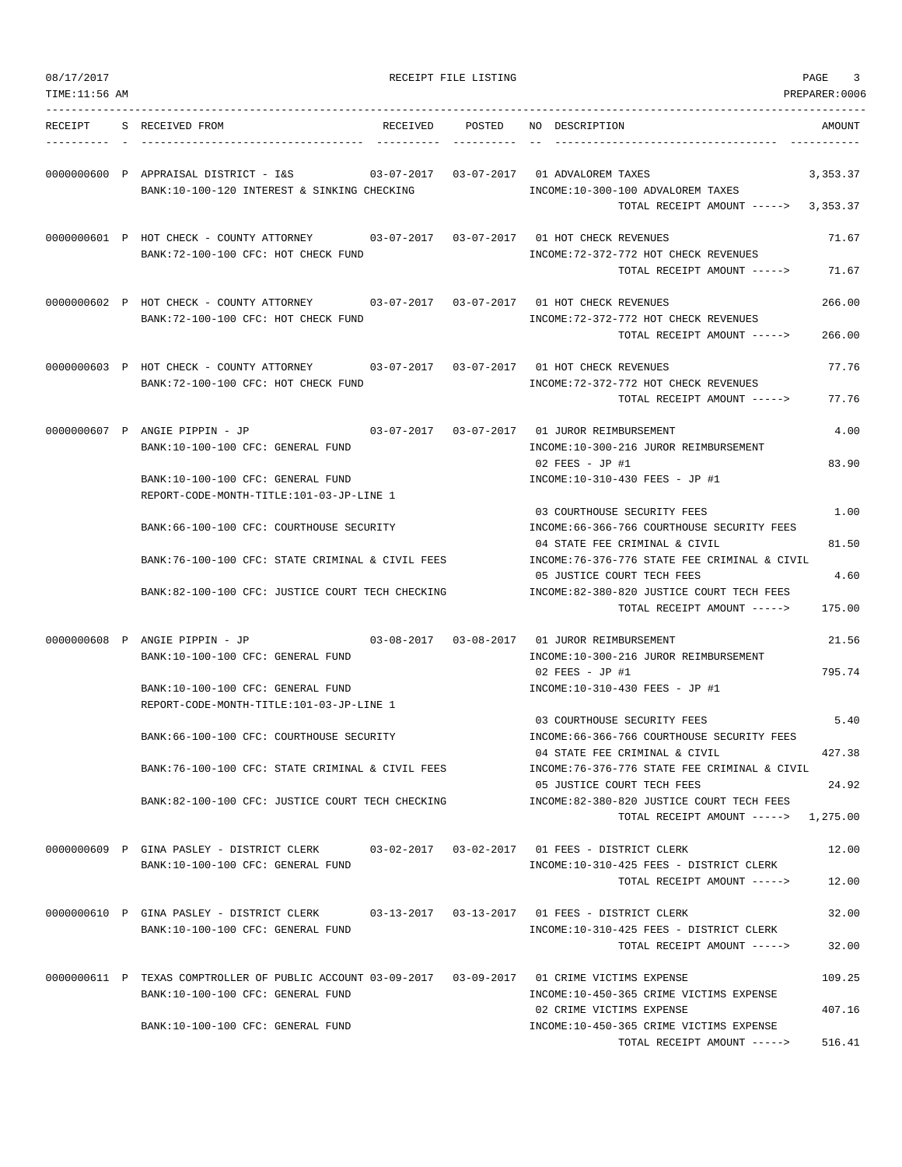| 08/17/2017<br>TIME:11:56 AM |                                                                                                                                                                                                                                                                                                          |            | RECEIPT FILE LISTING |                                                                                                                                                                                                                                                                                                                                                                                                                                      | PAGE<br>3<br>PREPARER:0006                 |
|-----------------------------|----------------------------------------------------------------------------------------------------------------------------------------------------------------------------------------------------------------------------------------------------------------------------------------------------------|------------|----------------------|--------------------------------------------------------------------------------------------------------------------------------------------------------------------------------------------------------------------------------------------------------------------------------------------------------------------------------------------------------------------------------------------------------------------------------------|--------------------------------------------|
| RECEIPT                     | S RECEIVED FROM                                                                                                                                                                                                                                                                                          | RECEIVED   | POSTED               | NO DESCRIPTION                                                                                                                                                                                                                                                                                                                                                                                                                       | AMOUNT                                     |
|                             | 0000000600 P APPRAISAL DISTRICT - I&S<br>BANK:10-100-120 INTEREST & SINKING CHECKING                                                                                                                                                                                                                     | 03-07-2017 |                      | 03-07-2017 01 ADVALOREM TAXES<br>INCOME:10-300-100 ADVALOREM TAXES<br>TOTAL RECEIPT AMOUNT ----->                                                                                                                                                                                                                                                                                                                                    | 3,353.37<br>3,353.37                       |
|                             | 0000000601 P HOT CHECK - COUNTY ATTORNEY 03-07-2017 03-07-2017 01 HOT CHECK REVENUES<br>BANK: 72-100-100 CFC: HOT CHECK FUND                                                                                                                                                                             |            |                      | INCOME: 72-372-772 HOT CHECK REVENUES<br>TOTAL RECEIPT AMOUNT ----->                                                                                                                                                                                                                                                                                                                                                                 | 71.67<br>71.67                             |
|                             | 0000000602 P HOT CHECK - COUNTY ATTORNEY 03-07-2017 03-07-2017 01 HOT CHECK REVENUES<br>BANK:72-100-100 CFC: HOT CHECK FUND                                                                                                                                                                              |            |                      | INCOME: 72-372-772 HOT CHECK REVENUES<br>TOTAL RECEIPT AMOUNT ----->                                                                                                                                                                                                                                                                                                                                                                 | 266.00<br>266.00                           |
|                             | 0000000603 P HOT CHECK - COUNTY ATTORNEY 03-07-2017 03-07-2017 01 HOT CHECK REVENUES<br>BANK: 72-100-100 CFC: HOT CHECK FUND                                                                                                                                                                             |            |                      | INCOME: 72-372-772 HOT CHECK REVENUES<br>TOTAL RECEIPT AMOUNT ----->                                                                                                                                                                                                                                                                                                                                                                 | 77.76<br>77.76                             |
|                             | 0000000607 P ANGIE PIPPIN - JP<br>BANK:10-100-100 CFC: GENERAL FUND<br>BANK:10-100-100 CFC: GENERAL FUND                                                                                                                                                                                                 |            |                      | 03-07-2017   03-07-2017   01   JUROR REIMBURSEMENT<br>INCOME:10-300-216 JUROR REIMBURSEMENT<br>$02$ FEES - JP #1<br>INCOME:10-310-430 FEES - JP #1                                                                                                                                                                                                                                                                                   | 4.00<br>83.90                              |
|                             | REPORT-CODE-MONTH-TITLE:101-03-JP-LINE 1<br>BANK:66-100-100 CFC: COURTHOUSE SECURITY<br>BANK:76-100-100 CFC: STATE CRIMINAL & CIVIL FEES<br>BANK:82-100-100 CFC: JUSTICE COURT TECH CHECKING                                                                                                             |            |                      | 03 COURTHOUSE SECURITY FEES<br>INCOME:66-366-766 COURTHOUSE SECURITY FEES<br>04 STATE FEE CRIMINAL & CIVIL<br>INCOME: 76-376-776 STATE FEE CRIMINAL & CIVIL<br>05 JUSTICE COURT TECH FEES<br>INCOME:82-380-820 JUSTICE COURT TECH FEES<br>TOTAL RECEIPT AMOUNT ----->                                                                                                                                                                | 1.00<br>81.50<br>4.60<br>175.00            |
|                             | 0000000608 P ANGIE PIPPIN - JP<br>BANK:10-100-100 CFC: GENERAL FUND<br>BANK:10-100-100 CFC: GENERAL FUND<br>REPORT-CODE-MONTH-TITLE:101-03-JP-LINE 1<br>BANK:66-100-100 CFC: COURTHOUSE SECURITY<br>BANK:76-100-100 CFC: STATE CRIMINAL & CIVIL FEES<br>BANK:82-100-100 CFC: JUSTICE COURT TECH CHECKING |            |                      | 03-08-2017   03-08-2017   01   JUROR REIMBURSEMENT<br>INCOME:10-300-216 JUROR REIMBURSEMENT<br>$02$ FEES - JP #1<br>INCOME:10-310-430 FEES - JP #1<br>03 COURTHOUSE SECURITY FEES<br>INCOME:66-366-766 COURTHOUSE SECURITY FEES<br>04 STATE FEE CRIMINAL & CIVIL<br>INCOME: 76-376-776 STATE FEE CRIMINAL & CIVIL<br>05 JUSTICE COURT TECH FEES<br>INCOME:82-380-820 JUSTICE COURT TECH FEES<br>TOTAL RECEIPT AMOUNT -----> 1,275.00 | 21.56<br>795.74<br>5.40<br>427.38<br>24.92 |
|                             | 0000000609 P GINA PASLEY - DISTRICT CLERK<br>BANK:10-100-100 CFC: GENERAL FUND                                                                                                                                                                                                                           |            |                      | 03-02-2017  03-02-2017  01 FEES - DISTRICT CLERK<br>INCOME:10-310-425 FEES - DISTRICT CLERK<br>TOTAL RECEIPT AMOUNT ----->                                                                                                                                                                                                                                                                                                           | 12.00<br>12.00                             |
|                             | 0000000610 P GINA PASLEY - DISTRICT CLERK 03-13-2017 03-13-2017 01 FEES - DISTRICT CLERK<br>BANK:10-100-100 CFC: GENERAL FUND                                                                                                                                                                            |            |                      | INCOME:10-310-425 FEES - DISTRICT CLERK<br>TOTAL RECEIPT AMOUNT ----->                                                                                                                                                                                                                                                                                                                                                               | 32.00<br>32.00                             |
|                             | 0000000611 P TEXAS COMPTROLLER OF PUBLIC ACCOUNT 03-09-2017 03-09-2017 01 CRIME VICTIMS EXPENSE<br>BANK:10-100-100 CFC: GENERAL FUND                                                                                                                                                                     |            |                      | INCOME:10-450-365 CRIME VICTIMS EXPENSE                                                                                                                                                                                                                                                                                                                                                                                              | 109.25                                     |
|                             | BANK:10-100-100 CFC: GENERAL FUND                                                                                                                                                                                                                                                                        |            |                      | 02 CRIME VICTIMS EXPENSE<br>INCOME:10-450-365 CRIME VICTIMS EXPENSE<br>TOTAL RECEIPT AMOUNT ----->                                                                                                                                                                                                                                                                                                                                   | 407.16<br>516.41                           |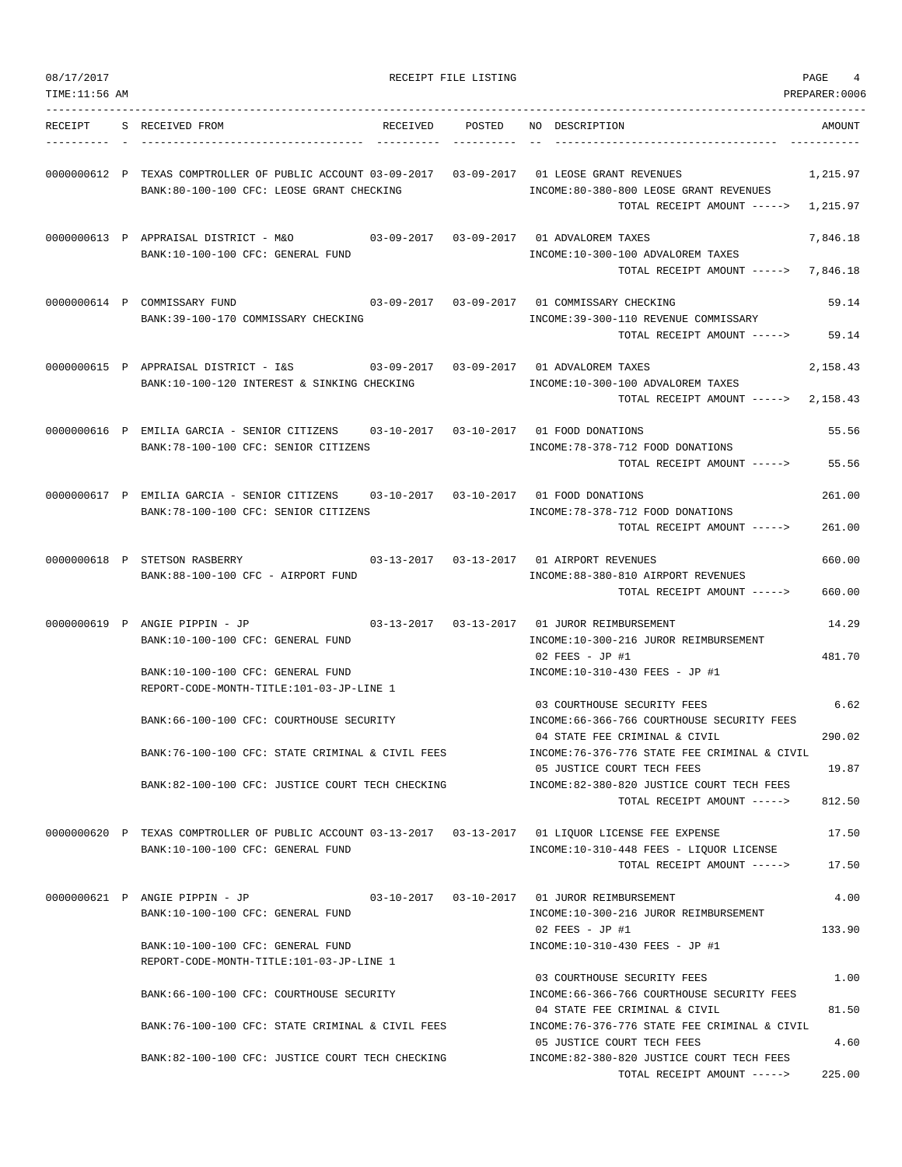| 08/17/2017    |                                                                                                                                             | RECEIPT FILE LISTING |                                                                                                                                                  | PAGE<br>4<br>PREPARER:0006 |
|---------------|---------------------------------------------------------------------------------------------------------------------------------------------|----------------------|--------------------------------------------------------------------------------------------------------------------------------------------------|----------------------------|
| TIME:11:56 AM |                                                                                                                                             |                      |                                                                                                                                                  |                            |
| RECEIPT       | S RECEIVED FROM<br>RECEIVED                                                                                                                 | POSTED               | NO DESCRIPTION                                                                                                                                   | AMOUNT                     |
|               | 0000000612 P TEXAS COMPTROLLER OF PUBLIC ACCOUNT 03-09-2017 03-09-2017 01 LEOSE GRANT REVENUES<br>BANK:80-100-100 CFC: LEOSE GRANT CHECKING |                      | INCOME:80-380-800 LEOSE GRANT REVENUES<br>TOTAL RECEIPT AMOUNT ----->                                                                            | 1,215.97<br>1,215.97       |
|               | 0000000613 P APPRAISAL DISTRICT - M&O<br>BANK:10-100-100 CFC: GENERAL FUND                                                                  |                      | 03-09-2017  03-09-2017  01 ADVALOREM TAXES<br>INCOME:10-300-100 ADVALOREM TAXES<br>TOTAL RECEIPT AMOUNT ----->                                   | 7,846.18<br>7,846.18       |
|               | 0000000614 P COMMISSARY FUND<br>BANK:39-100-170 COMMISSARY CHECKING                                                                         |                      | 03-09-2017  03-09-2017  01 COMMISSARY CHECKING<br>INCOME: 39-300-110 REVENUE COMMISSARY<br>TOTAL RECEIPT AMOUNT ----->                           | 59.14<br>59.14             |
|               | 0000000615 P APPRAISAL DISTRICT - I&S<br>BANK:10-100-120 INTEREST & SINKING CHECKING                                                        |                      | 03-09-2017  03-09-2017  01 ADVALOREM TAXES<br>INCOME:10-300-100 ADVALOREM TAXES<br>TOTAL RECEIPT AMOUNT ----->                                   | 2,158.43<br>2,158.43       |
|               | 0000000616 P EMILIA GARCIA - SENIOR CITIZENS<br>BANK: 78-100-100 CFC: SENIOR CITIZENS                                                       |                      | 03-10-2017  03-10-2017  01 FOOD DONATIONS<br>INCOME: 78-378-712 FOOD DONATIONS<br>TOTAL RECEIPT AMOUNT ----->                                    | 55.56<br>55.56             |
|               | 0000000617 P EMILIA GARCIA - SENIOR CITIZENS 03-10-2017 03-10-2017 01 FOOD DONATIONS<br>BANK: 78-100-100 CFC: SENIOR CITIZENS               |                      | INCOME: 78-378-712 FOOD DONATIONS<br>TOTAL RECEIPT AMOUNT ----->                                                                                 | 261.00<br>261.00           |
|               | 0000000618 P STETSON RASBERRY<br>BANK:88-100-100 CFC - AIRPORT FUND                                                                         |                      | 03-13-2017  03-13-2017  01 AIRPORT REVENUES<br>INCOME:88-380-810 AIRPORT REVENUES<br>TOTAL RECEIPT AMOUNT ----->                                 | 660.00<br>660.00           |
|               | 0000000619 P ANGIE PIPPIN - JP<br>BANK:10-100-100 CFC: GENERAL FUND<br>BANK:10-100-100 CFC: GENERAL FUND                                    |                      | 03-13-2017   03-13-2017   01   JUROR REIMBURSEMENT<br>INCOME:10-300-216 JUROR REIMBURSEMENT<br>02 FEES - JP #1<br>INCOME:10-310-430 FEES - JP #1 | 14.29<br>481.70            |
|               | REPORT-CODE-MONTH-TITLE:101-03-JP-LINE 1                                                                                                    |                      | 03 COURTHOUSE SECURITY FEES                                                                                                                      | 6.62                       |
|               | BANK: 66-100-100 CFC: COURTHOUSE SECURITY                                                                                                   |                      | INCOME:66-366-766 COURTHOUSE SECURITY FEES<br>04 STATE FEE CRIMINAL & CIVIL                                                                      | 290.02                     |
|               | BANK:76-100-100 CFC: STATE CRIMINAL & CIVIL FEES<br>BANK:82-100-100 CFC: JUSTICE COURT TECH CHECKING                                        |                      | INCOME: 76-376-776 STATE FEE CRIMINAL & CIVIL<br>05 JUSTICE COURT TECH FEES<br>INCOME:82-380-820 JUSTICE COURT TECH FEES                         | 19.87                      |
|               |                                                                                                                                             |                      | TOTAL RECEIPT AMOUNT ----->                                                                                                                      | 812.50                     |
|               | 0000000620 P TEXAS COMPTROLLER OF PUBLIC ACCOUNT 03-13-2017 03-13-2017 01 LIQUOR LICENSE FEE EXPENSE<br>BANK:10-100-100 CFC: GENERAL FUND   |                      | INCOME:10-310-448 FEES - LIQUOR LICENSE<br>TOTAL RECEIPT AMOUNT ----->                                                                           | 17.50<br>17.50             |
|               | 0000000621 P ANGIE PIPPIN - JP<br>BANK:10-100-100 CFC: GENERAL FUND                                                                         |                      | 03-10-2017  03-10-2017  01 JUROR REIMBURSEMENT<br>INCOME:10-300-216 JUROR REIMBURSEMENT                                                          | 4.00                       |
|               | BANK:10-100-100 CFC: GENERAL FUND<br>REPORT-CODE-MONTH-TITLE:101-03-JP-LINE 1                                                               |                      | $02$ FEES - JP #1<br>INCOME:10-310-430 FEES - JP #1                                                                                              | 133.90                     |
|               | BANK: 66-100-100 CFC: COURTHOUSE SECURITY                                                                                                   |                      | 03 COURTHOUSE SECURITY FEES<br>INCOME: 66-366-766 COURTHOUSE SECURITY FEES<br>04 STATE FEE CRIMINAL & CIVIL                                      | 1.00<br>81.50              |
|               | BANK:76-100-100 CFC: STATE CRIMINAL & CIVIL FEES                                                                                            |                      | INCOME:76-376-776 STATE FEE CRIMINAL & CIVIL<br>05 JUSTICE COURT TECH FEES                                                                       | 4.60                       |
|               | BANK:82-100-100 CFC: JUSTICE COURT TECH CHECKING                                                                                            |                      | INCOME:82-380-820 JUSTICE COURT TECH FEES<br>TOTAL RECEIPT AMOUNT ----->                                                                         | 225.00                     |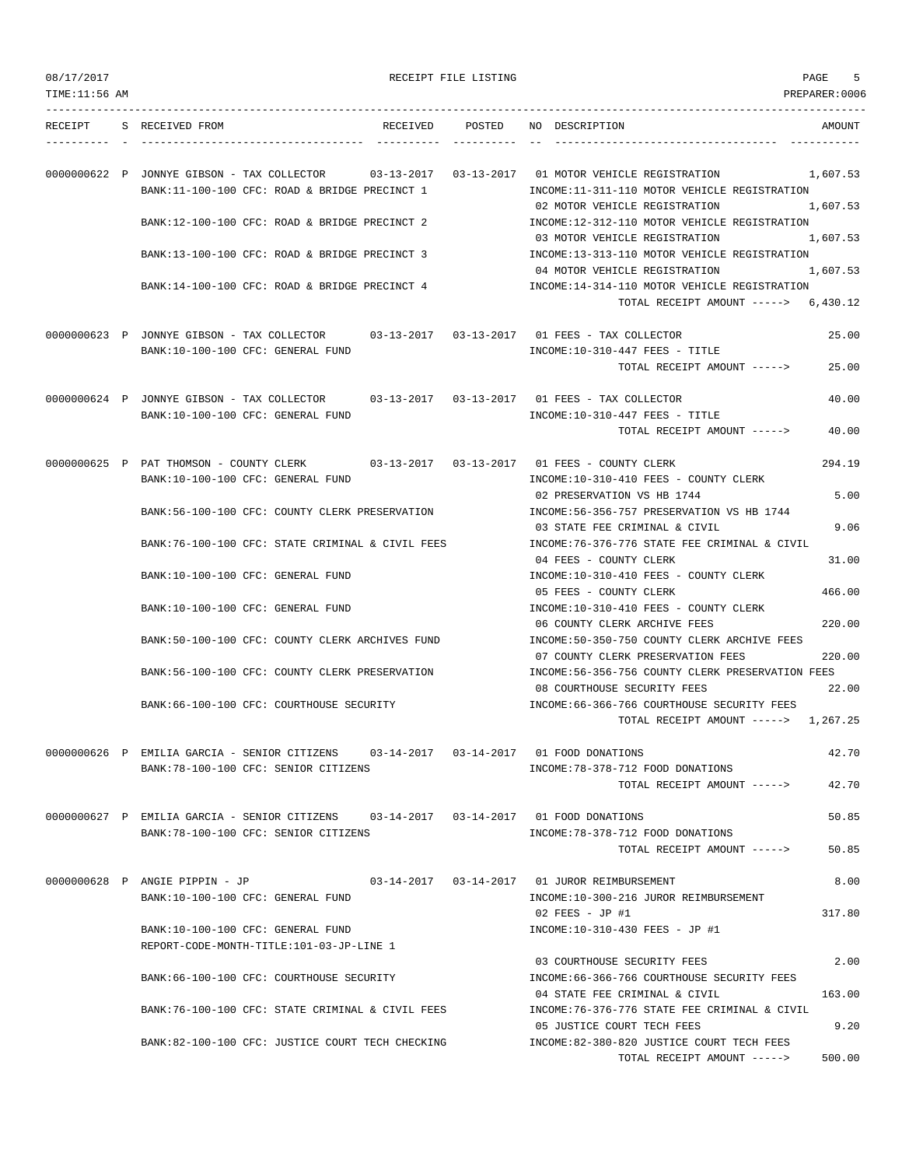PAGE THE SECTION AND SERVICE SECTION OF THE SECTION OF THE SECTION OF THE SECTION OF THE SECTION OF THE SECTION OF THE SECTION OF THE SECTION OF THE SECTION OF THE SECTION OF THE SECTION OF THE SECTION OF THE SECTION OF TH

| TIME:11:56 AM |                                                                                             |            |                  | PREPARER: 0006                                                                                                                         |
|---------------|---------------------------------------------------------------------------------------------|------------|------------------|----------------------------------------------------------------------------------------------------------------------------------------|
| RECEIPT       | S RECEIVED FROM                                                                             | RECEIVED   |                  | POSTED NO DESCRIPTION<br>AMOUNT                                                                                                        |
|               | 0000000622 P JONNYE GIBSON - TAX COLLECTOR<br>BANK:11-100-100 CFC: ROAD & BRIDGE PRECINCT 1 | 03-13-2017 | $03 - 13 - 2017$ | 01 MOTOR VEHICLE REGISTRATION<br>1,607.53<br>INCOME:11-311-110 MOTOR VEHICLE REGISTRATION                                              |
|               | BANK:12-100-100 CFC: ROAD & BRIDGE PRECINCT 2                                               |            |                  | 1,607.53<br>02 MOTOR VEHICLE REGISTRATION<br>INCOME:12-312-110 MOTOR VEHICLE REGISTRATION<br>03 MOTOR VEHICLE REGISTRATION<br>1,607.53 |
|               | BANK:13-100-100 CFC: ROAD & BRIDGE PRECINCT 3                                               |            |                  | INCOME:13-313-110 MOTOR VEHICLE REGISTRATION                                                                                           |
|               |                                                                                             |            |                  | 04 MOTOR VEHICLE REGISTRATION<br>1,607.53                                                                                              |
|               | BANK:14-100-100 CFC: ROAD & BRIDGE PRECINCT 4                                               |            |                  | INCOME:14-314-110 MOTOR VEHICLE REGISTRATION<br>TOTAL RECEIPT AMOUNT $--->$ 6,430.12                                                   |
|               | 0000000623 P JONNYE GIBSON - TAX COLLECTOR 03-13-2017 03-13-2017 01 FEES - TAX COLLECTOR    |            |                  | 25.00                                                                                                                                  |
|               | BANK:10-100-100 CFC: GENERAL FUND                                                           |            |                  | INCOME:10-310-447 FEES - TITLE<br>TOTAL RECEIPT AMOUNT -----><br>25.00                                                                 |
|               | 0000000624 P JONNYE GIBSON - TAX COLLECTOR<br>BANK:10-100-100 CFC: GENERAL FUND             |            |                  | 40.00<br>$INCOME: 10-310-447$ FEES - TITLE                                                                                             |
|               |                                                                                             |            |                  | TOTAL RECEIPT AMOUNT -----><br>40.00                                                                                                   |
|               | 0000000625 P PAT THOMSON - COUNTY CLERK<br>BANK:10-100-100 CFC: GENERAL FUND                |            |                  | 294.19<br>INCOME:10-310-410 FEES - COUNTY CLERK                                                                                        |
|               | BANK:56-100-100 CFC: COUNTY CLERK PRESERVATION                                              |            |                  | 5.00<br>02 PRESERVATION VS HB 1744<br>INCOME: 56-356-757 PRESERVATION VS HB 1744                                                       |
|               |                                                                                             |            |                  | 9.06<br>03 STATE FEE CRIMINAL & CIVIL                                                                                                  |
|               | BANK:76-100-100 CFC: STATE CRIMINAL & CIVIL FEES                                            |            |                  | INCOME: 76-376-776 STATE FEE CRIMINAL & CIVIL                                                                                          |
|               | BANK:10-100-100 CFC: GENERAL FUND                                                           |            |                  | 31.00<br>04 FEES - COUNTY CLERK<br>INCOME:10-310-410 FEES - COUNTY CLERK                                                               |
|               | BANK:10-100-100 CFC: GENERAL FUND                                                           |            |                  | 466.00<br>05 FEES - COUNTY CLERK<br>INCOME:10-310-410 FEES - COUNTY CLERK                                                              |
|               | BANK:50-100-100 CFC: COUNTY CLERK ARCHIVES FUND                                             |            |                  | 06 COUNTY CLERK ARCHIVE FEES<br>220.00<br>INCOME: 50-350-750 COUNTY CLERK ARCHIVE FEES                                                 |
|               | BANK:56-100-100 CFC: COUNTY CLERK PRESERVATION                                              |            |                  | 07 COUNTY CLERK PRESERVATION FEES<br>220.00<br>INCOME:56-356-756 COUNTY CLERK PRESERVATION FEES                                        |
|               | BANK:66-100-100 CFC: COURTHOUSE SECURITY                                                    |            |                  | 22.00<br>08 COURTHOUSE SECURITY FEES<br>INCOME:66-366-766 COURTHOUSE SECURITY FEES                                                     |
|               |                                                                                             |            |                  | TOTAL RECEIPT AMOUNT -----> 1,267.25                                                                                                   |
|               | 0000000626 P EMILIA GARCIA - SENIOR CITIZENS<br>BANK:78-100-100 CFC: SENIOR CITIZENS        |            |                  | 42.70<br>03-14-2017   03-14-2017   01   FOOD DONATIONS<br>INCOME: 78-378-712 FOOD DONATIONS                                            |
|               |                                                                                             |            |                  | 42.70<br>TOTAL RECEIPT AMOUNT ----->                                                                                                   |
|               | 0000000627 P EMILIA GARCIA - SENIOR CITIZENS 03-14-2017 03-14-2017 01 FOOD DONATIONS        |            |                  | 50.85                                                                                                                                  |
|               | BANK:78-100-100 CFC: SENIOR CITIZENS                                                        |            |                  | INCOME: 78-378-712 FOOD DONATIONS<br>TOTAL RECEIPT AMOUNT -----><br>50.85                                                              |
|               | 0000000628 P ANGIE PIPPIN - JP                                                              |            |                  | 03-14-2017   03-14-2017   01   JUROR REIMBURSEMENT<br>8.00                                                                             |
|               | BANK:10-100-100 CFC: GENERAL FUND                                                           |            |                  | INCOME:10-300-216 JUROR REIMBURSEMENT                                                                                                  |
|               | BANK:10-100-100 CFC: GENERAL FUND<br>REPORT-CODE-MONTH-TITLE:101-03-JP-LINE 1               |            |                  | $02$ FEES - JP #1<br>317.80<br>INCOME:10-310-430 FEES - JP #1                                                                          |
|               |                                                                                             |            |                  | 03 COURTHOUSE SECURITY FEES<br>2.00                                                                                                    |
|               | BANK: 66-100-100 CFC: COURTHOUSE SECURITY                                                   |            |                  | INCOME:66-366-766 COURTHOUSE SECURITY FEES<br>04 STATE FEE CRIMINAL & CIVIL<br>163.00                                                  |
|               | BANK:76-100-100 CFC: STATE CRIMINAL & CIVIL FEES                                            |            |                  | INCOME: 76-376-776 STATE FEE CRIMINAL & CIVIL<br>05 JUSTICE COURT TECH FEES<br>9.20                                                    |
|               | BANK:82-100-100 CFC: JUSTICE COURT TECH CHECKING                                            |            |                  | INCOME:82-380-820 JUSTICE COURT TECH FEES<br>TOTAL RECEIPT AMOUNT -----><br>500.00                                                     |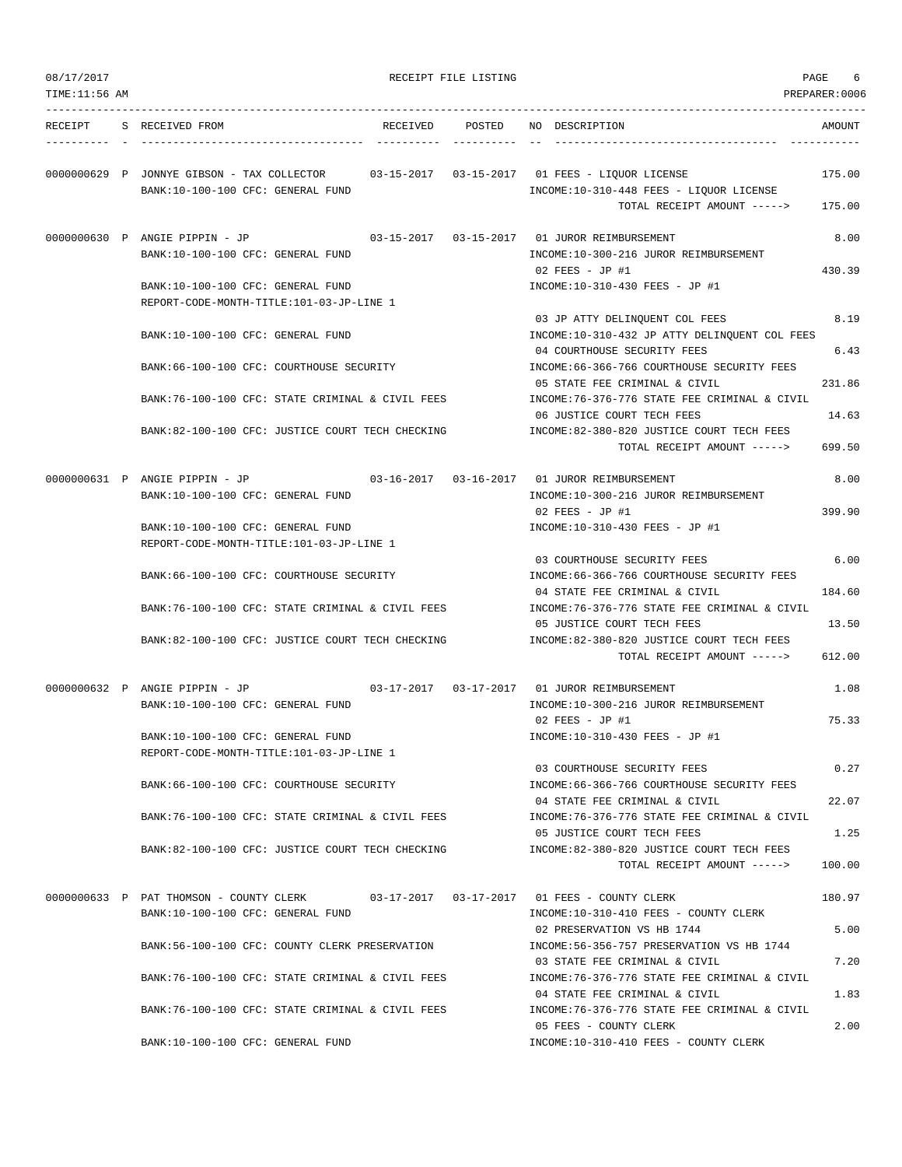| 08/17/2017<br>TIME:11:56 AM |                                                                                       |          | RECEIPT FILE LISTING |                                                                                                                                | PAGE<br>6<br>PREPARER:0006 |
|-----------------------------|---------------------------------------------------------------------------------------|----------|----------------------|--------------------------------------------------------------------------------------------------------------------------------|----------------------------|
| RECEIPT                     | S RECEIVED FROM                                                                       | RECEIVED | POSTED               | NO DESCRIPTION                                                                                                                 | AMOUNT                     |
|                             | 0000000629 P JONNYE GIBSON - TAX COLLECTOR<br>BANK:10-100-100 CFC: GENERAL FUND       |          |                      | 03-15-2017   03-15-2017   01   FEES - LIOUOR LICENSE<br>INCOME:10-310-448 FEES - LIQUOR LICENSE<br>TOTAL RECEIPT AMOUNT -----> | 175.00<br>175.00           |
|                             | 0000000630 P ANGIE PIPPIN - JP<br>BANK:10-100-100 CFC: GENERAL FUND                   |          |                      | 03-15-2017   03-15-2017   01   JUROR REIMBURSEMENT<br>INCOME:10-300-216 JUROR REIMBURSEMENT                                    | 8.00                       |
|                             | BANK:10-100-100 CFC: GENERAL FUND                                                     |          |                      | $02$ FEES - JP #1<br>INCOME:10-310-430 FEES - JP #1                                                                            | 430.39                     |
|                             | REPORT-CODE-MONTH-TITLE:101-03-JP-LINE 1<br>BANK:10-100-100 CFC: GENERAL FUND         |          |                      | 03 JP ATTY DELINQUENT COL FEES<br>INCOME:10-310-432 JP ATTY DELINQUENT COL FEES                                                | 8.19                       |
|                             | BANK:66-100-100 CFC: COURTHOUSE SECURITY                                              |          |                      | 04 COURTHOUSE SECURITY FEES<br>INCOME:66-366-766 COURTHOUSE SECURITY FEES                                                      | 6.43                       |
|                             | BANK:76-100-100 CFC: STATE CRIMINAL & CIVIL FEES                                      |          |                      | 05 STATE FEE CRIMINAL & CIVIL<br>INCOME: 76-376-776 STATE FEE CRIMINAL & CIVIL                                                 | 231.86                     |
|                             | BANK:82-100-100 CFC: JUSTICE COURT TECH CHECKING                                      |          |                      | 06 JUSTICE COURT TECH FEES<br>INCOME:82-380-820 JUSTICE COURT TECH FEES<br>TOTAL RECEIPT AMOUNT ----->                         | 14.63<br>699.50            |
|                             | 0000000631 P ANGIE PIPPIN - JP<br>BANK:10-100-100 CFC: GENERAL FUND                   |          |                      | 03-16-2017  03-16-2017  01 JUROR REIMBURSEMENT<br>INCOME:10-300-216 JUROR REIMBURSEMENT                                        | 8.00                       |
|                             | BANK:10-100-100 CFC: GENERAL FUND                                                     |          |                      | $02$ FEES - JP #1<br>INCOME:10-310-430 FEES - JP #1                                                                            | 399.90                     |
|                             | REPORT-CODE-MONTH-TITLE:101-03-JP-LINE 1                                              |          |                      | 03 COURTHOUSE SECURITY FEES                                                                                                    | 6.00                       |
|                             | BANK: 66-100-100 CFC: COURTHOUSE SECURITY                                             |          |                      | INCOME: 66-366-766 COURTHOUSE SECURITY FEES<br>04 STATE FEE CRIMINAL & CIVIL                                                   | 184.60                     |
|                             | BANK:76-100-100 CFC: STATE CRIMINAL & CIVIL FEES                                      |          |                      | INCOME:76-376-776 STATE FEE CRIMINAL & CIVIL<br>05 JUSTICE COURT TECH FEES                                                     | 13.50                      |
|                             | BANK:82-100-100 CFC: JUSTICE COURT TECH CHECKING                                      |          |                      | INCOME:82-380-820 JUSTICE COURT TECH FEES<br>TOTAL RECEIPT AMOUNT ----->                                                       | 612.00                     |
|                             | 0000000632 P ANGIE PIPPIN - JP<br>BANK:10-100-100 CFC: GENERAL FUND                   |          |                      | 03-17-2017   03-17-2017   01   JUROR REIMBURSEMENT<br>INCOME:10-300-216 JUROR REIMBURSEMENT                                    | 1.08                       |
|                             | BANK:10-100-100 CFC: GENERAL FUND                                                     |          |                      | $02$ FEES - JP #1<br>INCOME:10-310-430 FEES - JP #1                                                                            | 75.33                      |
|                             | REPORT-CODE-MONTH-TITLE:101-03-JP-LINE 1<br>BANK: 66-100-100 CFC: COURTHOUSE SECURITY |          |                      | 03 COURTHOUSE SECURITY FEES<br>INCOME:66-366-766 COURTHOUSE SECURITY FEES                                                      | 0.27                       |
|                             | BANK:76-100-100 CFC: STATE CRIMINAL & CIVIL FEES                                      |          |                      | 04 STATE FEE CRIMINAL & CIVIL<br>INCOME: 76-376-776 STATE FEE CRIMINAL & CIVIL                                                 | 22.07                      |
|                             | BANK:82-100-100 CFC: JUSTICE COURT TECH CHECKING                                      |          |                      | 05 JUSTICE COURT TECH FEES<br>INCOME:82-380-820 JUSTICE COURT TECH FEES                                                        | 1.25                       |
|                             |                                                                                       |          |                      | TOTAL RECEIPT AMOUNT ----->                                                                                                    | 100.00                     |
|                             | 0000000633 P PAT THOMSON - COUNTY CLERK<br>BANK:10-100-100 CFC: GENERAL FUND          |          |                      | 03-17-2017  03-17-2017  01 FEES - COUNTY CLERK<br>INCOME:10-310-410 FEES - COUNTY CLERK                                        | 180.97                     |
|                             | BANK:56-100-100 CFC: COUNTY CLERK PRESERVATION                                        |          |                      | 02 PRESERVATION VS HB 1744<br>INCOME: 56-356-757 PRESERVATION VS HB 1744<br>03 STATE FEE CRIMINAL & CIVIL                      | 5.00<br>7.20               |
|                             | BANK: 76-100-100 CFC: STATE CRIMINAL & CIVIL FEES                                     |          |                      | INCOME: 76-376-776 STATE FEE CRIMINAL & CIVIL<br>04 STATE FEE CRIMINAL & CIVIL                                                 | 1.83                       |
|                             | BANK:76-100-100 CFC: STATE CRIMINAL & CIVIL FEES                                      |          |                      | INCOME: 76-376-776 STATE FEE CRIMINAL & CIVIL<br>05 FEES - COUNTY CLERK                                                        | 2.00                       |
|                             | BANK:10-100-100 CFC: GENERAL FUND                                                     |          |                      | INCOME:10-310-410 FEES - COUNTY CLERK                                                                                          |                            |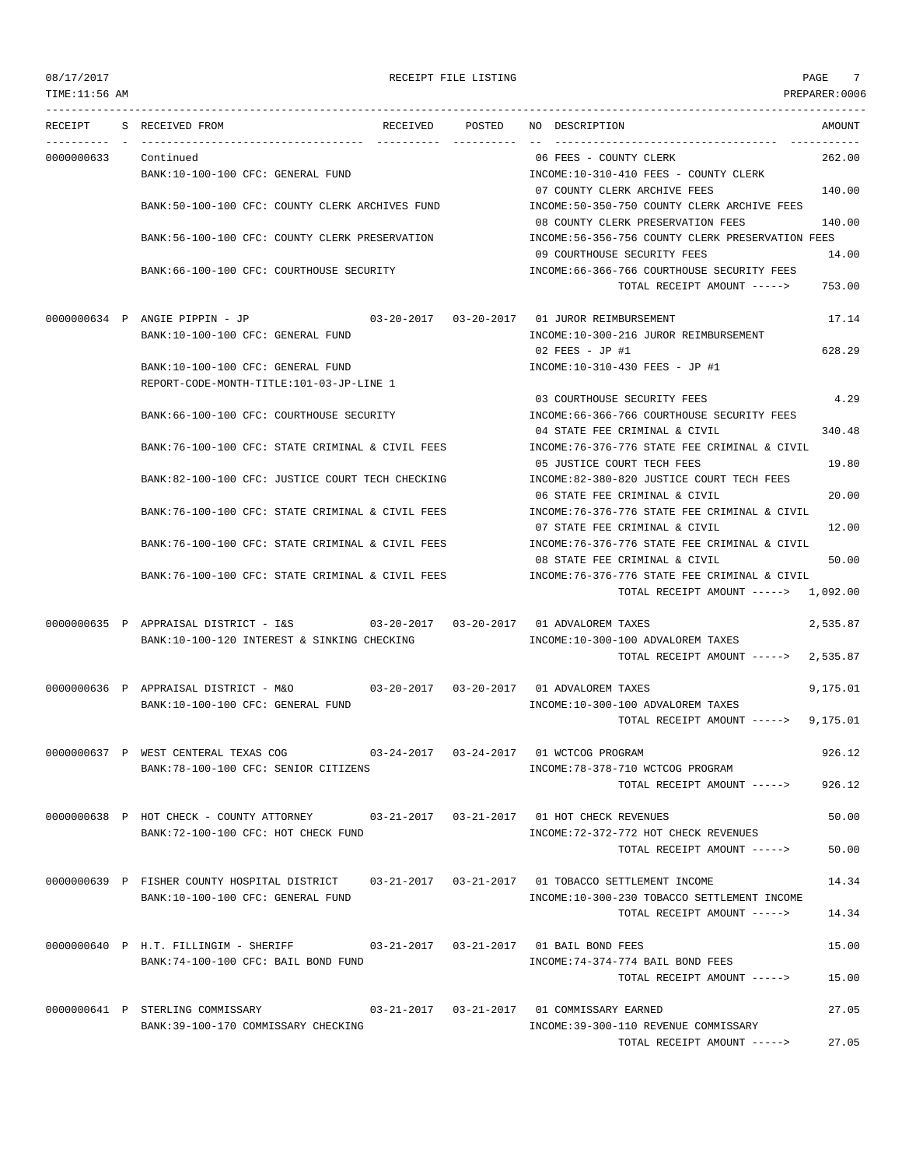## 08/17/2017 RECEIPT FILE LISTING PAGE 7

TIME:11:56 AM PREPARER:0006 --------------------------------------------------------------------------------------------------------------------------------- RECEIPT S RECEIVED FROM THE RECEIVED POSTED NO DESCRIPTION THE RECEIVED AMOUNT ---------- - ----------------------------------- ---------- ---------- -- ----------------------------------- ----------- 0000000633 Continued 06 FEES - COUNTY CLERK 262.00 BANK:10-100-100 CFC: GENERAL FUND INCOME:10-310-410 FEES - COUNTY CLERK 07 COUNTY CLERK ARCHIVE FEES 140.00 BANK:50-100-100 CFC: COUNTY CLERK ARCHIVES FUND INCOME:50-350-750 COUNTY CLERK ARCHIVE FEES 08 COUNTY CLERK PRESERVATION FEES 140.00 BANK:56-100-100 CFC: COUNTY CLERK PRESERVATION INCOME:56-356-756 COUNTY CLERK PRESERVATION FEES 09 COURTHOUSE SECURITY FEES 14.00 BANK:66-100-100 CFC: COURTHOUSE SECURITY INCOME:66-366-766 COURTHOUSE SECURITY FEES TOTAL RECEIPT AMOUNT -----> 753.00 0000000634 P ANGIE PIPPIN - JP 03-20-2017 03-20-2017 01 JUROR REIMBURSEMENT 17.14 BANK:10-100-100 CFC: GENERAL FUND SALL AND SERVICOME:10-300-216 JUROR REIMBURSEMENT 02 FEES - JP #1 628.29 BANK:10-100-100 CFC: GENERAL FUND **INCOME:10-310-430 FEES** - JP #1 REPORT-CODE-MONTH-TITLE:101-03-JP-LINE 1 03 COURTHOUSE SECURITY FEES 4.29 BANK:66-100-100 CFC: COURTHOUSE SECURITY **INCOME:66-366-766 COURTHOUSE SECURITY FEES** 04 STATE FEE CRIMINAL & CIVIL 340.48 BANK:76-100-100 CFC: STATE CRIMINAL & CIVIL FEES INCOME:76-376-776 STATE FEE CRIMINAL & CIVIL 05 JUSTICE COURT TECH FEES 19.80 BANK:82-100-100 CFC: JUSTICE COURT TECH CHECKING INCOME:82-380-820 JUSTICE COURT TECH FEES 06 STATE FEE CRIMINAL & CIVIL 20.00 BANK:76-100-100 CFC: STATE CRIMINAL & CIVIL FEES INCOME:76-376-776 STATE FEE CRIMINAL & CIVIL 07 STATE FEE CRIMINAL & CIVIL 12.00 BANK:76-100-100 CFC: STATE CRIMINAL & CIVIL FEES INCOME:76-376-776 STATE FEE CRIMINAL & CIVIL 08 STATE FEE CRIMINAL & CIVIL 50.00 BANK:76-100-100 CFC: STATE CRIMINAL & CIVIL FEES INCOME:76-376-776 STATE FEE CRIMINAL & CIVIL TOTAL RECEIPT AMOUNT -----> 1,092.00 0000000635 P APPRAISAL DISTRICT - I&S 03-20-2017 03-20-2017 01 ADVALOREM TAXES 2,535.87 BANK:10-100-120 INTEREST & SINKING CHECKING INCOME:10-300-100 ADVALOREM TAXES TOTAL RECEIPT AMOUNT -----> 2,535.87 0000000636 P APPRAISAL DISTRICT - M&O 03-20-2017 03-20-2017 01 ADVALOREM TAXES 9,175.01 BANK:10-100-100 CFC: GENERAL FUND **INCOME:10-300-100 ADVALOREM TAXES** TOTAL RECEIPT AMOUNT -----> 9,175.01 0000000637 P WEST CENTERAL TEXAS COG 03-24-2017 03-24-2017 01 WCTCOG PROGRAM 926.12 BANK:78-100-100 CFC: SENIOR CITIZENS  $INCOME:78-378-710$  WCTCOG PROGRAM TOTAL RECEIPT AMOUNT -----> 926.12 0000000638 P HOT CHECK - COUNTY ATTORNEY 03-21-2017 03-21-2017 01 HOT CHECK REVENUES 50.00 BANK:72-100-100 CFC: HOT CHECK FUND INCOME:72-372-772 HOT CHECK REVENUES TOTAL RECEIPT AMOUNT -----> 50.00 0000000639 P FISHER COUNTY HOSPITAL DISTRICT 03-21-2017 03-21-2017 01 TOBACCO SETTLEMENT INCOME 14.34 BANK:10-100-100 CFC: GENERAL FUND INCOME:10-300-230 TOBACCO SETTLEMENT INCOME TOTAL RECEIPT AMOUNT -----> 14.34 0000000640 P H.T. FILLINGIM - SHERIFF 03-21-2017 03-21-2017 01 BAIL BOND FEES 15.00 BANK:74-100-100 CFC: BAIL BOND FUND INCOME:74-374-774 BAIL BOND FEES TOTAL RECEIPT AMOUNT -----> 15.00 0000000641 P STERLING COMMISSARY 03-21-2017 03-21-2017 01 COMMISSARY EARNED 27.05 BANK:39-100-170 COMMISSARY CHECKING INCOME:39-300-110 REVENUE COMMISSARY

TOTAL RECEIPT AMOUNT -----> 27.05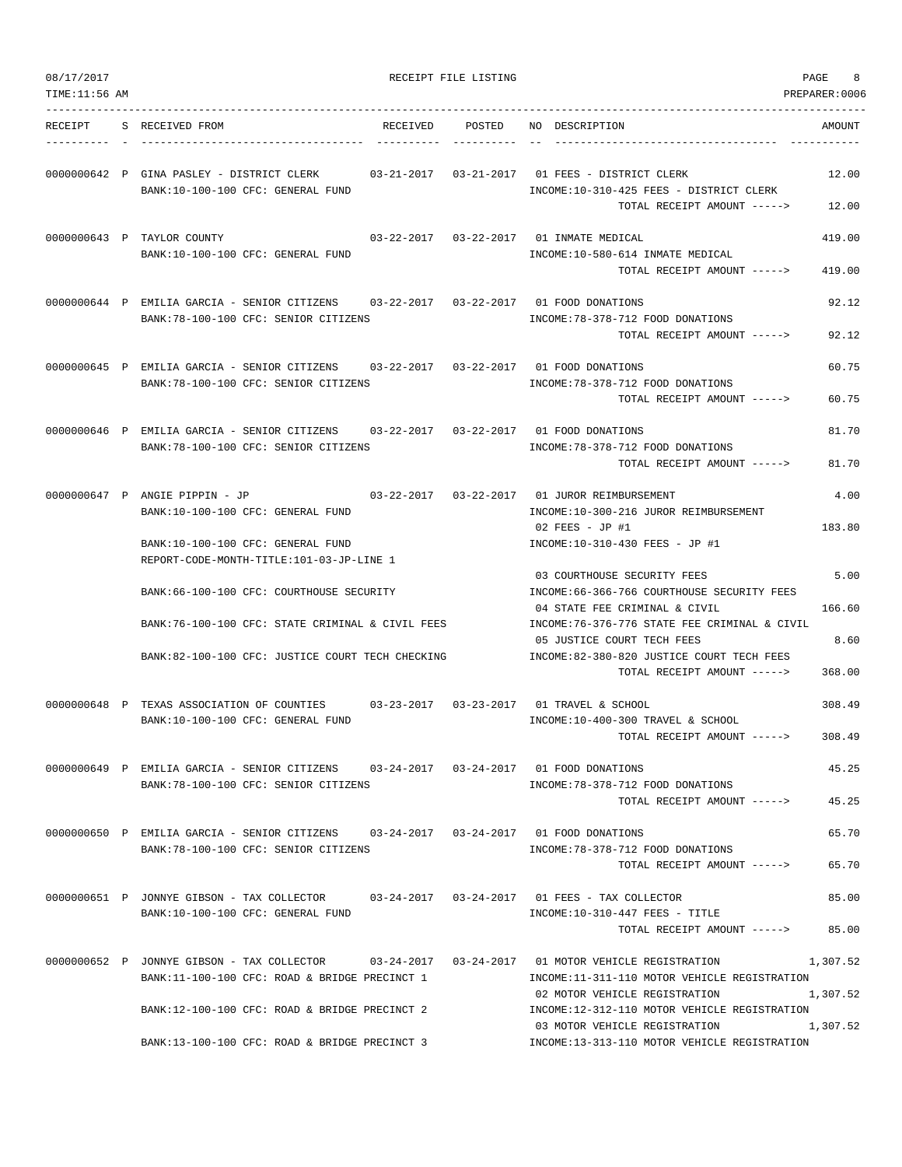| 08/17/2017    |                                                                                                                               | RECEIPT FILE LISTING |        |                                                                                                                                          | PAGE<br>8            |
|---------------|-------------------------------------------------------------------------------------------------------------------------------|----------------------|--------|------------------------------------------------------------------------------------------------------------------------------------------|----------------------|
| TIME:11:56 AM |                                                                                                                               |                      |        |                                                                                                                                          | PREPARER: 0006       |
| RECEIPT       | S RECEIVED FROM                                                                                                               | RECEIVED             | POSTED | NO DESCRIPTION                                                                                                                           | AMOUNT               |
|               | 0000000642 P GINA PASLEY - DISTRICT CLERK<br>BANK:10-100-100 CFC: GENERAL FUND                                                |                      |        | INCOME:10-310-425 FEES - DISTRICT CLERK<br>TOTAL RECEIPT AMOUNT ----->                                                                   | 12.00<br>12.00       |
|               | 0000000643 P TAYLOR COUNTY<br>BANK:10-100-100 CFC: GENERAL FUND                                                               |                      |        | 03-22-2017  03-22-2017  01 INMATE MEDICAL<br>INCOME:10-580-614 INMATE MEDICAL<br>TOTAL RECEIPT AMOUNT ----->                             | 419.00<br>419.00     |
|               | 0000000644 P EMILIA GARCIA - SENIOR CITIZENS 03-22-2017 03-22-2017 01 FOOD DONATIONS<br>BANK: 78-100-100 CFC: SENIOR CITIZENS |                      |        | INCOME: 78-378-712 FOOD DONATIONS<br>TOTAL RECEIPT AMOUNT ----->                                                                         | 92.12<br>92.12       |
|               | 0000000645 P EMILIA GARCIA - SENIOR CITIZENS 03-22-2017 03-22-2017 01 FOOD DONATIONS<br>BANK: 78-100-100 CFC: SENIOR CITIZENS |                      |        | INCOME: 78-378-712 FOOD DONATIONS<br>TOTAL RECEIPT AMOUNT ----->                                                                         | 60.75<br>60.75       |
|               | 0000000646 P EMILIA GARCIA - SENIOR CITIZENS 03-22-2017 03-22-2017 01 FOOD DONATIONS<br>BANK: 78-100-100 CFC: SENIOR CITIZENS |                      |        | INCOME: 78-378-712 FOOD DONATIONS<br>TOTAL RECEIPT AMOUNT ----->                                                                         | 81.70<br>81.70       |
|               | 0000000647 P ANGIE PIPPIN - JP                                                                                                |                      |        | 03-22-2017  03-22-2017  01 JUROR REIMBURSEMENT                                                                                           | 4.00                 |
|               | BANK:10-100-100 CFC: GENERAL FUND<br>BANK:10-100-100 CFC: GENERAL FUND                                                        |                      |        | INCOME:10-300-216 JUROR REIMBURSEMENT<br>02 FEES - JP #1<br>INCOME:10-310-430 FEES - JP #1                                               | 183.80               |
|               | REPORT-CODE-MONTH-TITLE:101-03-JP-LINE 1<br>BANK:66-100-100 CFC: COURTHOUSE SECURITY                                          |                      |        | 03 COURTHOUSE SECURITY FEES<br>INCOME:66-366-766 COURTHOUSE SECURITY FEES                                                                | 5.00                 |
|               | BANK:76-100-100 CFC: STATE CRIMINAL & CIVIL FEES                                                                              |                      |        | 04 STATE FEE CRIMINAL & CIVIL<br>INCOME: 76-376-776 STATE FEE CRIMINAL & CIVIL                                                           | 166.60               |
|               | BANK:82-100-100 CFC: JUSTICE COURT TECH CHECKING                                                                              |                      |        | 05 JUSTICE COURT TECH FEES<br>INCOME:82-380-820 JUSTICE COURT TECH FEES<br>TOTAL RECEIPT AMOUNT ----->                                   | 8.60<br>368.00       |
|               | 0000000648 P TEXAS ASSOCIATION OF COUNTIES<br>BANK:10-100-100 CFC: GENERAL FUND                                               |                      |        | INCOME:10-400-300 TRAVEL & SCHOOL<br>TOTAL RECEIPT AMOUNT ----->                                                                         | 308.49<br>308.49     |
|               | 0000000649 P EMILIA GARCIA - SENIOR CITIZENS 03-24-2017 03-24-2017 01 FOOD DONATIONS<br>BANK: 78-100-100 CFC: SENIOR CITIZENS |                      |        | INCOME: 78-378-712 FOOD DONATIONS                                                                                                        | 45.25                |
|               | 0000000650 P EMILIA GARCIA - SENIOR CITIZENS 03-24-2017 03-24-2017 01 FOOD DONATIONS                                          |                      |        | TOTAL RECEIPT AMOUNT ----->                                                                                                              | 45.25<br>65.70       |
|               | BANK: 78-100-100 CFC: SENIOR CITIZENS                                                                                         |                      |        | INCOME: 78-378-712 FOOD DONATIONS<br>TOTAL RECEIPT AMOUNT ----->                                                                         | 65.70                |
|               | 0000000651 P JONNYE GIBSON - TAX COLLECTOR 03-24-2017 03-24-2017 01 FEES - TAX COLLECTOR<br>BANK:10-100-100 CFC: GENERAL FUND |                      |        | INCOME:10-310-447 FEES - TITLE<br>TOTAL RECEIPT AMOUNT ----->                                                                            | 85.00<br>85.00       |
|               | 0000000652 P JONNYE GIBSON - TAX COLLECTOR<br>BANK:11-100-100 CFC: ROAD & BRIDGE PRECINCT 1                                   |                      |        | 03-24-2017   03-24-2017   01 MOTOR VEHICLE REGISTRATION<br>INCOME:11-311-110 MOTOR VEHICLE REGISTRATION<br>02 MOTOR VEHICLE REGISTRATION | 1,307.52<br>1,307.52 |
|               | BANK:12-100-100 CFC: ROAD & BRIDGE PRECINCT 2                                                                                 |                      |        | INCOME:12-312-110 MOTOR VEHICLE REGISTRATION<br>03 MOTOR VEHICLE REGISTRATION                                                            | 1,307.52             |
|               | BANK:13-100-100 CFC: ROAD & BRIDGE PRECINCT 3                                                                                 |                      |        | INCOME:13-313-110 MOTOR VEHICLE REGISTRATION                                                                                             |                      |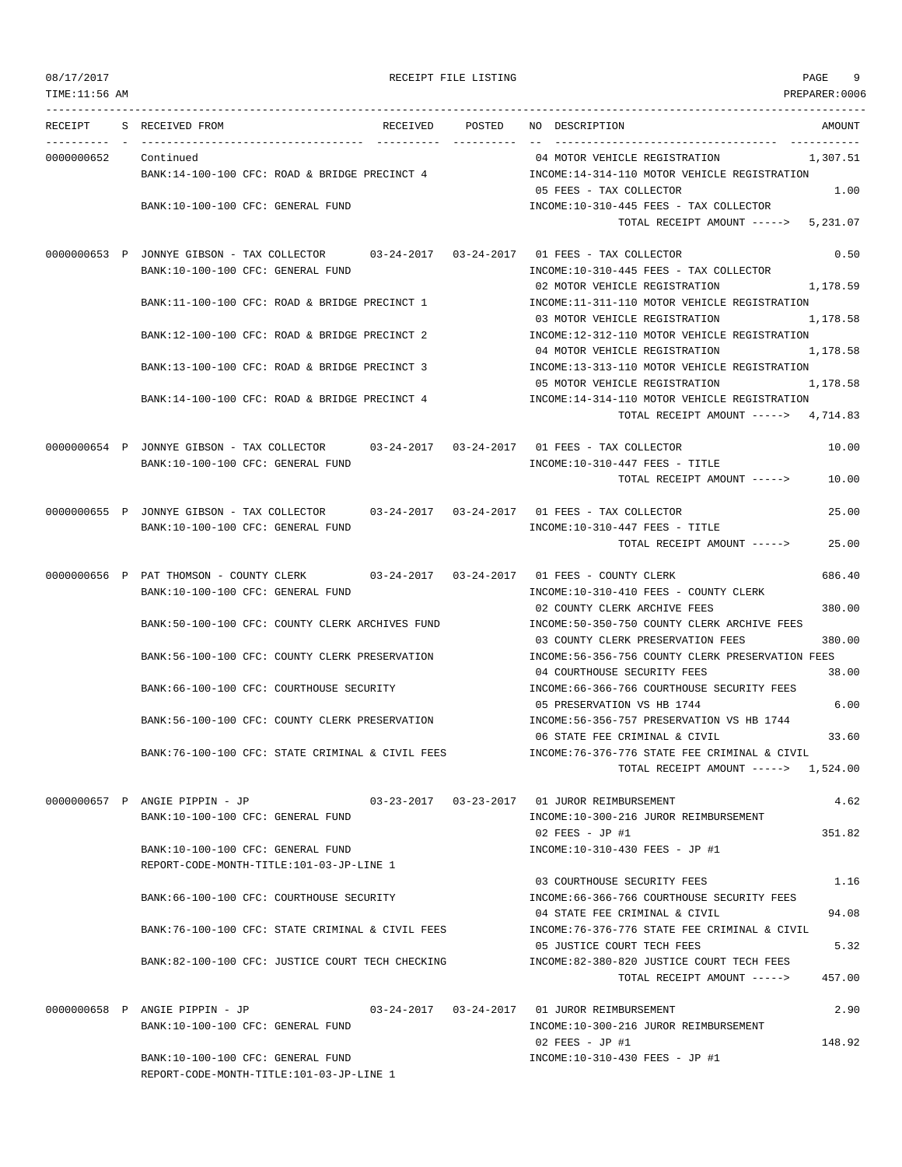## RECEIPT FILE LISTING **EXECUTE A SECURE 19**

TIME:11:56 AM PREPARER:0006 --------------------------------------------------------------------------------------------------------------------------------- RECEIPT S RECEIVED FROM THE RECEIVED POSTED NO DESCRIPTION THE RECEIVED AMOUNT ---------- - ----------------------------------- ---------- ---------- -- ----------------------------------- ----------- 0000000652 Continued 2007.51 Continued 2007.51 BANK:14-100-100 CFC: ROAD & BRIDGE PRECINCT 4 INCOME:14-314-110 MOTOR VEHICLE REGISTRATION 05 FEES - TAX COLLECTOR 1.00 BANK:10-100-100 CFC: GENERAL FUND **INCOME:10-310-445 FEES - TAX COLLECTOR** TOTAL RECEIPT AMOUNT -----> 5,231.07 0000000653 P JONNYE GIBSON - TAX COLLECTOR 03-24-2017 03-24-2017 01 FEES - TAX COLLECTOR 0.50 BANK:10-100-100 CFC: GENERAL FUND INCOME:10-310-445 FEES - TAX COLLECTOR 02 MOTOR VEHICLE REGISTRATION 1,178.59 BANK:11-100-100 CFC: ROAD & BRIDGE PRECINCT 1 INCOME:11-311-110 MOTOR VEHICLE REGISTRATION 03 MOTOR VEHICLE REGISTRATION 1,178.58 BANK:12-100-100 CFC: ROAD & BRIDGE PRECINCT 2 INCOME:12-312-110 MOTOR VEHICLE REGISTRATION 04 MOTOR VEHICLE REGISTRATION 1,178.58 BANK:13-100-100 CFC: ROAD & BRIDGE PRECINCT 3 INCOME:13-313-110 MOTOR VEHICLE REGISTRATION 05 MOTOR VEHICLE REGISTRATION 1.178.58 BANK:14-100-100 CFC: ROAD & BRIDGE PRECINCT 4 INCOME:14-314-110 MOTOR VEHICLE REGISTRATION TOTAL RECEIPT AMOUNT -----> 4,714.83 0000000654 P JONNYE GIBSON - TAX COLLECTOR 03-24-2017 03-24-2017 01 FEES - TAX COLLECTOR 10.00 BANK:10-100-100 CFC: GENERAL FUND INCOME:10-310-447 FEES - TITLE TOTAL RECEIPT AMOUNT -----> 10.00 0000000655 P JONNYE GIBSON - TAX COLLECTOR 03-24-2017 03-24-2017 01 FEES - TAX COLLECTOR 25.00 BANK:10-100-100 CFC: GENERAL FUND INCOME:10-310-447 FEES - TITLE TOTAL RECEIPT AMOUNT -----> 25.00 0000000656 P PAT THOMSON - COUNTY CLERK 03-24-2017 03-24-2017 01 FEES - COUNTY CLERK 686.40 BANK:10-100-100 CFC: GENERAL FUND **INCOME:10-310-410 FEES - COUNTY CLERK** 02 COUNTY CLERK ARCHIVE FEES 380.00 BANK:50-100-100 CFC: COUNTY CLERK ARCHIVES FUND INCOME:50-350-750 COUNTY CLERK ARCHIVE FEES 03 COUNTY CLERK PRESERVATION FEES 380.00 BANK:56-100-100 CFC: COUNTY CLERK PRESERVATION INCOME:56-356-756 COUNTY CLERK PRESERVATION FEES 04 COURTHOUSE SECURITY FEES 38.00 BANK:66-100-100 CFC: COURTHOUSE SECURITY **INCOME:66-366-766 COURTHOUSE SECURITY FEES** 05 PRESERVATION VS HB 1744 6.00 BANK:56-100-100 CFC: COUNTY CLERK PRESERVATION INCOME:56-356-757 PRESERVATION VS HB 1744 06 STATE FEE CRIMINAL & CIVIL 33.60 BANK:76-100-100 CFC: STATE CRIMINAL & CIVIL FEES INCOME:76-376-776 STATE FEE CRIMINAL & CIVIL TOTAL RECEIPT AMOUNT -----> 1,524.00 0000000657 P ANGIE PIPPIN - JP 03-23-2017 03-23-2017 01 JUROR REIMBURSEMENT 4.62 BANK:10-100-100 CFC: GENERAL FUND INCOME:10-300-216 JUROR REIMBURSEMENT 02 FEES - JP #1 351.82 BANK:10-100-100 CFC: GENERAL FUND INCOME:10-310-430 FEES - JP #1 REPORT-CODE-MONTH-TITLE:101-03-JP-LINE 1 03 COURTHOUSE SECURITY FEES 1.16 BANK:66-100-100 CFC: COURTHOUSE SECURITY INCOME:66-366-766 COURTHOUSE SECURITY FEES 04 STATE FEE CRIMINAL & CIVIL 94.08 BANK:76-100-100 CFC: STATE CRIMINAL & CIVIL FEES INCOME:76-376-776 STATE FEE CRIMINAL & CIVIL 05 JUSTICE COURT TECH FEES 5.32 BANK:82-100-100 CFC: JUSTICE COURT TECH CHECKING INCOME:82-380-820 JUSTICE COURT TECH FEES TOTAL RECEIPT AMOUNT  $--- 2$  457.00 0000000658 P ANGIE PIPPIN - JP 03-24-2017 03-24-2017 01 JUROR REIMBURSEMENT 2.90 BANK:10-100-100 CFC: GENERAL FUND INCOME:10-300-216 JUROR REIMBURSEMENT 02 FEES - JP #1 148.92 BANK:10-100-100 CFC: GENERAL FUND INCOME:10-310-430 FEES - JP #1 REPORT-CODE-MONTH-TITLE:101-03-JP-LINE 1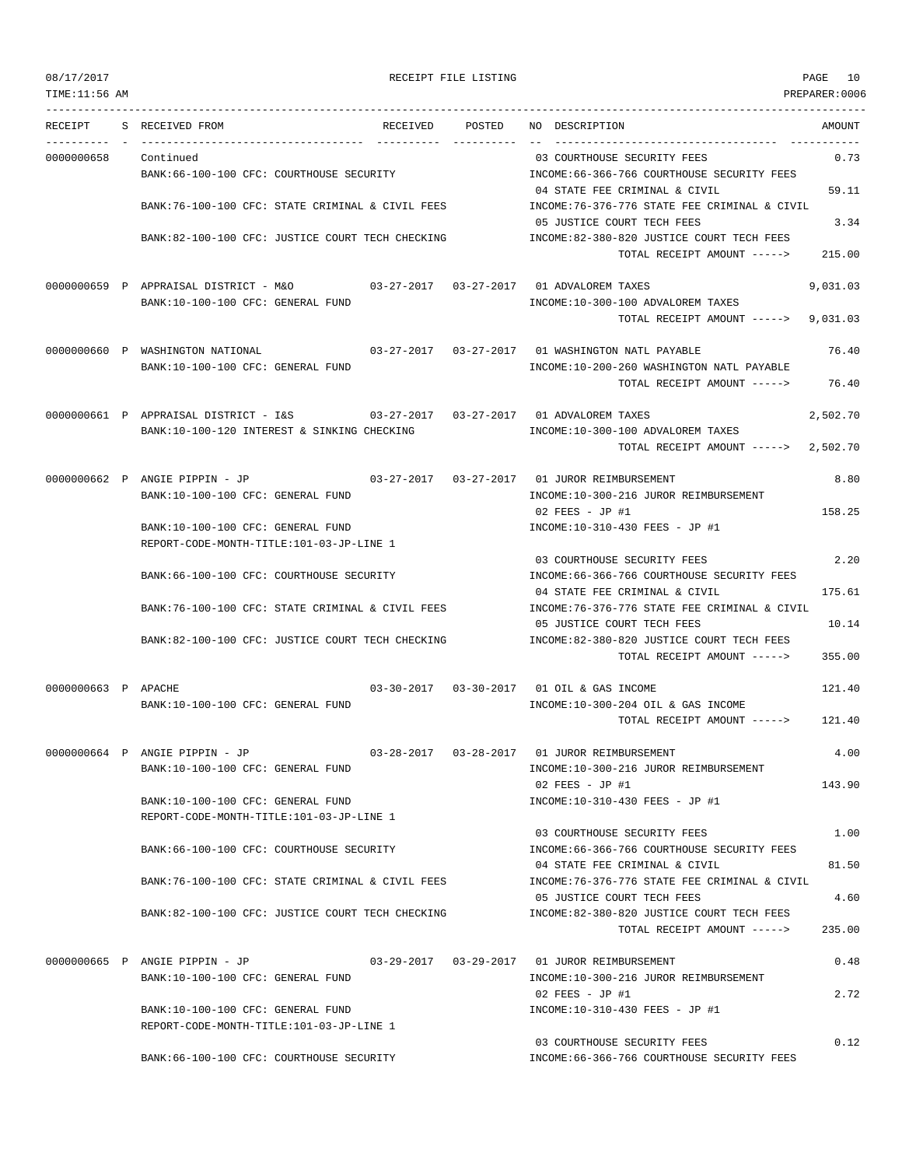08/17/2017 RECEIPT FILE LISTING PAGE 10

TIME:11:56 AM PREPARER:0006 --------------------------------------------------------------------------------------------------------------------------------- RECEIPT S RECEIVED FROM RECEIVED POSTED NO DESCRIPTION AMOUNT ---------- - ----------------------------------- ---------- ---------- -- ----------------------------------- ----------- 0000000658 Continued 03 COURTHOUSE SECURITY FEES 0.73 BANK:66-100-100 CFC: COURTHOUSE SECURITY INCOME:66-366-766 COURTHOUSE SECURITY FEES 04 STATE FEE CRIMINAL & CIVIL 59.11 BANK:76-100-100 CFC: STATE CRIMINAL & CIVIL FEES INCOME:76-376-776 STATE FEE CRIMINAL & CIVIL 05 JUSTICE COURT TECH FEES 3.34 BANK:82-100-100 CFC: JUSTICE COURT TECH CHECKING INCOME:82-380-820 JUSTICE COURT TECH FEES TOTAL RECEIPT AMOUNT -----> 215.00 0000000659 P APPRAISAL DISTRICT - M&O 03-27-2017 03-27-2017 01 ADVALOREM TAXES 9,031.03 BANK:10-100-100 CFC: GENERAL FUND INCOME:10-300-100 ADVALOREM TAXES TOTAL RECEIPT AMOUNT -----> 9,031.03 0000000660 P WASHINGTON NATIONAL 03-27-2017 03-27-2017 01 WASHINGTON NATL PAYABLE 76.40 BANK:10-100-100 CFC: GENERAL FUND INCOME:10-200-260 WASHINGTON NATL PAYABLE TOTAL RECEIPT AMOUNT -----> 76.40 0000000661 P APPRAISAL DISTRICT - I&S 03-27-2017 03-27-2017 01 ADVALOREM TAXES 2,502.70 BANK:10-100-120 INTEREST & SINKING CHECKING  $INCOME:10-300-100$  ADVALOREM TAXES TOTAL RECEIPT AMOUNT -----> 2,502.70 0000000662 P ANGIE PIPPIN - JP 03-27-2017 03-27-2017 01 JUROR REIMBURSEMENT 8.80 BANK:10-100-100 CFC: GENERAL FUND SANK:10-300-216 JUROR REIMBURSEMENT 02 FRES - JP #1 158.25 BANK:10-100-100 CFC: GENERAL FUND INCOME:10-310-430 FEES - JP #1 REPORT-CODE-MONTH-TITLE:101-03-JP-LINE 1 03 COURTHOUSE SECURITY FEES 2.20 BANK:66-100-100 CFC: COURTHOUSE SECURITY INCOME:66-366-766 COURTHOUSE SECURITY FEES 04 STATE FEE CRIMINAL & CIVIL 175.61 BANK:76-100-100 CFC: STATE CRIMINAL & CIVIL FEES INCOME:76-376-776 STATE FEE CRIMINAL & CIVIL 05 JUSTICE COURT TECH FEES 10.14 BANK:82-100-100 CFC: JUSTICE COURT TECH CHECKING INCOME:82-380-820 JUSTICE COURT TECH FEES TOTAL RECEIPT AMOUNT -----> 355.00 0000000663 P APACHE 03-30-2017 03-30-2017 03-30-2017 01 OIL & GAS INCOME 121.40 BANK:10-100-100 CFC: GENERAL FUND INCOME:10-300-204 OIL & GAS INCOME TOTAL RECEIPT AMOUNT -----> 121.40 0000000664 P ANGIE PIPPIN - JP 03-28-2017 03-28-2017 01 JUROR REIMBURSEMENT 4.00 BANK:10-100-100 CFC: GENERAL FUND INCOME:10-300-216 JUROR REIMBURSEMENT  $02$  FEES - JP #1 143.90 BANK:10-100-100 CFC: GENERAL FUND INCOME:10-310-430 FEES - JP #1 REPORT-CODE-MONTH-TITLE:101-03-JP-LINE 1 03 COURTHOUSE SECURITY FEES 1.00 BANK:66-100-100 CFC: COURTHOUSE SECURITY INCOME:66-366-766 COURTHOUSE SECURITY FEES 04 STATE FEE CRIMINAL & CIVIL 6 (1994) 81.50 BANK:76-100-100 CFC: STATE CRIMINAL & CIVIL FEES INCOME:76-376-776 STATE FEE CRIMINAL & CIVIL 05 JUSTICE COURT TECH FEES 4.60 BANK:82-100-100 CFC: JUSTICE COURT TECH CHECKING INCOME:82-380-820 JUSTICE COURT TECH FEES TOTAL RECEIPT AMOUNT -----> 235.00 0000000665 P ANGIE PIPPIN - JP 03-29-2017 03-29-2017 01 JUROR REIMBURSEMENT 0.48 BANK:10-100-100 CFC: GENERAL FUND **INCOME:10-300-216 JUROR REIMBURSEMENT** 02 FEES - JP #1 2.72 BANK:10-100-100 CFC: GENERAL FUND INCOME:10-310-430 FEES - JP #1 REPORT-CODE-MONTH-TITLE:101-03-JP-LINE 1 03 COURTHOUSE SECURITY FEES 0.12

BANK:66-100-100 CFC: COURTHOUSE SECURITY INCOME:66-366-766 COURTHOUSE SECURITY FEES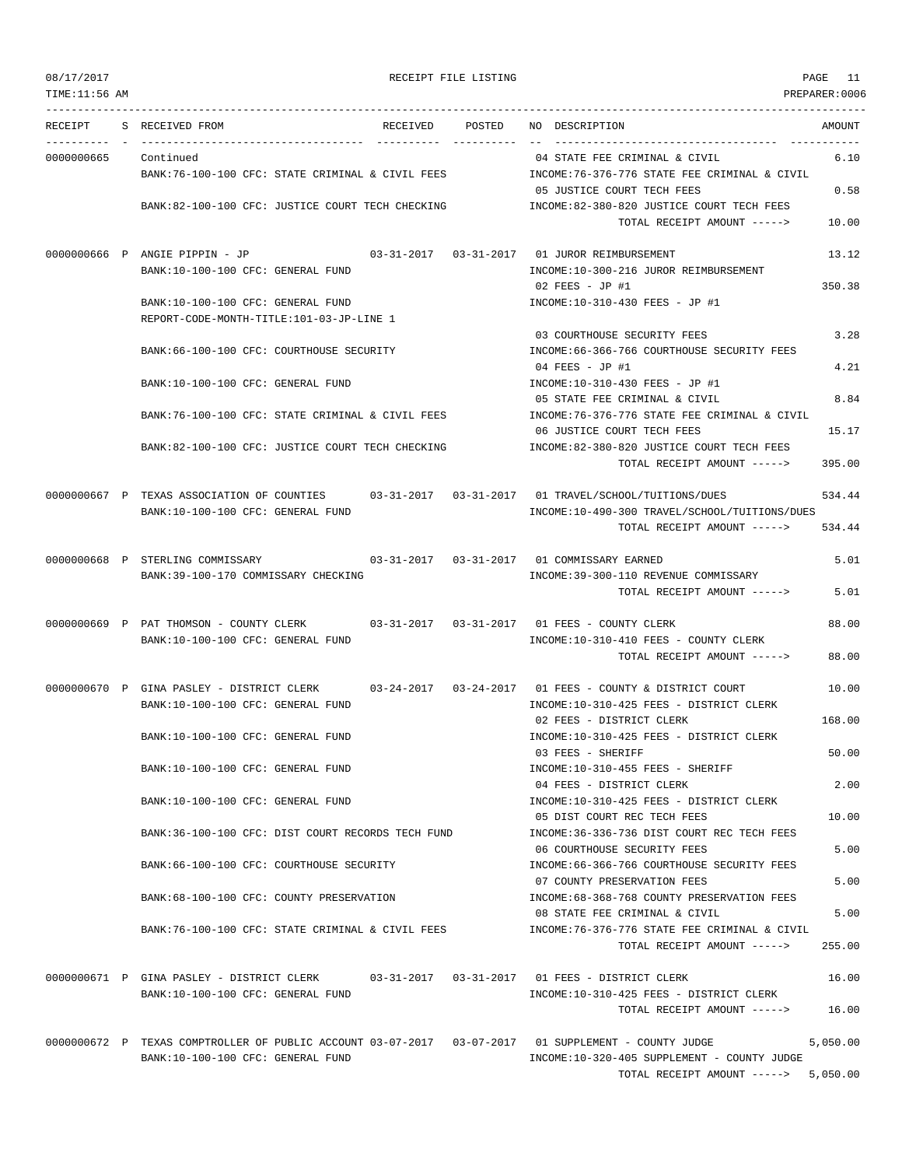| TIME: 11:56 AM<br>PREPARER: 0006<br>RECEIPT<br>S RECEIVED FROM<br>POSTED<br>NO DESCRIPTION<br>AMOUNT<br>RECEIVED<br>0000000665<br>Continued<br>04 STATE FEE CRIMINAL & CIVIL<br>6.10<br>INCOME: 76-376-776 STATE FEE CRIMINAL & CIVIL<br>BANK:76-100-100 CFC: STATE CRIMINAL & CIVIL FEES<br>05 JUSTICE COURT TECH FEES<br>0.58<br>BANK:82-100-100 CFC: JUSTICE COURT TECH CHECKING<br>INCOME:82-380-820 JUSTICE COURT TECH FEES<br>TOTAL RECEIPT AMOUNT -----><br>10.00<br>0000000666 P ANGIE PIPPIN - JP<br>$03 - 31 - 2017$ $03 - 31 - 2017$<br>01 JUROR REIMBURSEMENT<br>13.12<br>BANK:10-100-100 CFC: GENERAL FUND<br>INCOME:10-300-216 JUROR REIMBURSEMENT<br>350.38<br>02 FEES - JP #1<br>BANK:10-100-100 CFC: GENERAL FUND<br>INCOME:10-310-430 FEES - JP #1<br>REPORT-CODE-MONTH-TITLE:101-03-JP-LINE 1<br>3.28<br>03 COURTHOUSE SECURITY FEES<br>BANK:66-100-100 CFC: COURTHOUSE SECURITY<br>INCOME: 66-366-766 COURTHOUSE SECURITY FEES<br>4.21<br>04 FEES - JP #1<br>BANK:10-100-100 CFC: GENERAL FUND<br>INCOME:10-310-430 FEES - JP #1<br>05 STATE FEE CRIMINAL & CIVIL<br>8.84<br>BANK:76-100-100 CFC: STATE CRIMINAL & CIVIL FEES<br>INCOME:76-376-776 STATE FEE CRIMINAL & CIVIL<br>06 JUSTICE COURT TECH FEES<br>15.17<br>BANK:82-100-100 CFC: JUSTICE COURT TECH CHECKING<br>INCOME:82-380-820 JUSTICE COURT TECH FEES<br>395.00<br>TOTAL RECEIPT AMOUNT -----><br>0000000667 P TEXAS ASSOCIATION OF COUNTIES 03-31-2017 03-31-2017 01 TRAVEL/SCHOOL/TUITIONS/DUES<br>534.44<br>BANK:10-100-100 CFC: GENERAL FUND<br>INCOME:10-490-300 TRAVEL/SCHOOL/TUITIONS/DUES<br>TOTAL RECEIPT AMOUNT -----><br>534.44<br>0000000668 P STERLING COMMISSARY<br>5.01<br>BANK:39-100-170 COMMISSARY CHECKING<br>INCOME: 39-300-110 REVENUE COMMISSARY<br>5.01<br>TOTAL RECEIPT AMOUNT -----><br>0000000669 P PAT THOMSON - COUNTY CLERK<br>88.00<br>BANK:10-100-100 CFC: GENERAL FUND<br>INCOME:10-310-410 FEES - COUNTY CLERK<br>TOTAL RECEIPT AMOUNT -----><br>88.00<br>0000000670 P GINA PASLEY - DISTRICT CLERK<br>03-24-2017<br>03-24-2017 01 FEES - COUNTY & DISTRICT COURT<br>10.00<br>BANK:10-100-100 CFC: GENERAL FUND<br>INCOME:10-310-425 FEES - DISTRICT CLERK<br>02 FEES - DISTRICT CLERK<br>168.00<br>BANK:10-100-100 CFC: GENERAL FUND<br>INCOME:10-310-425 FEES - DISTRICT CLERK<br>50.00<br>03 FEES - SHERIFF<br>BANK:10-100-100 CFC: GENERAL FUND<br>INCOME:10-310-455 FEES - SHERIFF<br>2.00<br>04 FEES - DISTRICT CLERK<br>INCOME:10-310-425 FEES - DISTRICT CLERK<br>BANK:10-100-100 CFC: GENERAL FUND<br>05 DIST COURT REC TECH FEES<br>10.00<br>BANK:36-100-100 CFC: DIST COURT RECORDS TECH FUND<br>INCOME: 36-336-736 DIST COURT REC TECH FEES<br>5.00<br>06 COURTHOUSE SECURITY FEES<br>INCOME:66-366-766 COURTHOUSE SECURITY FEES<br>BANK:66-100-100 CFC: COURTHOUSE SECURITY<br>07 COUNTY PRESERVATION FEES<br>5.00<br>INCOME: 68-368-768 COUNTY PRESERVATION FEES<br>BANK:68-100-100 CFC: COUNTY PRESERVATION<br>5.00<br>08 STATE FEE CRIMINAL & CIVIL<br>BANK:76-100-100 CFC: STATE CRIMINAL & CIVIL FEES<br>INCOME: 76-376-776 STATE FEE CRIMINAL & CIVIL<br>255.00<br>TOTAL RECEIPT AMOUNT -----><br>0000000671 P GINA PASLEY - DISTRICT CLERK 03-31-2017 03-31-2017 01 FEES - DISTRICT CLERK<br>16.00<br>BANK:10-100-100 CFC: GENERAL FUND<br>INCOME:10-310-425 FEES - DISTRICT CLERK<br>16.00<br>TOTAL RECEIPT AMOUNT -----><br>0000000672 P TEXAS COMPTROLLER OF PUBLIC ACCOUNT 03-07-2017 03-07-2017 01 SUPPLEMENT - COUNTY JUDGE<br>5,050.00<br>BANK:10-100-100 CFC: GENERAL FUND<br>INCOME:10-320-405 SUPPLEMENT - COUNTY JUDGE<br>TOTAL RECEIPT AMOUNT $--- 5,050.00$ | 08/17/2017 |  | RECEIPT FILE LISTING | PAGE<br>11 |
|-------------------------------------------------------------------------------------------------------------------------------------------------------------------------------------------------------------------------------------------------------------------------------------------------------------------------------------------------------------------------------------------------------------------------------------------------------------------------------------------------------------------------------------------------------------------------------------------------------------------------------------------------------------------------------------------------------------------------------------------------------------------------------------------------------------------------------------------------------------------------------------------------------------------------------------------------------------------------------------------------------------------------------------------------------------------------------------------------------------------------------------------------------------------------------------------------------------------------------------------------------------------------------------------------------------------------------------------------------------------------------------------------------------------------------------------------------------------------------------------------------------------------------------------------------------------------------------------------------------------------------------------------------------------------------------------------------------------------------------------------------------------------------------------------------------------------------------------------------------------------------------------------------------------------------------------------------------------------------------------------------------------------------------------------------------------------------------------------------------------------------------------------------------------------------------------------------------------------------------------------------------------------------------------------------------------------------------------------------------------------------------------------------------------------------------------------------------------------------------------------------------------------------------------------------------------------------------------------------------------------------------------------------------------------------------------------------------------------------------------------------------------------------------------------------------------------------------------------------------------------------------------------------------------------------------------------------------------------------------------------------------------------------------------------------------------------------------------------------------------------------------------------------------------------------------------------------------------------------------------------------------------------------------------------------------------------------------------------------------------------------------------------------------------------------------------------------------------------------------------------------------------------------------------------------------------------------------------------------------------|------------|--|----------------------|------------|
|                                                                                                                                                                                                                                                                                                                                                                                                                                                                                                                                                                                                                                                                                                                                                                                                                                                                                                                                                                                                                                                                                                                                                                                                                                                                                                                                                                                                                                                                                                                                                                                                                                                                                                                                                                                                                                                                                                                                                                                                                                                                                                                                                                                                                                                                                                                                                                                                                                                                                                                                                                                                                                                                                                                                                                                                                                                                                                                                                                                                                                                                                                                                                                                                                                                                                                                                                                                                                                                                                                                                                                                                                   |            |  |                      |            |
|                                                                                                                                                                                                                                                                                                                                                                                                                                                                                                                                                                                                                                                                                                                                                                                                                                                                                                                                                                                                                                                                                                                                                                                                                                                                                                                                                                                                                                                                                                                                                                                                                                                                                                                                                                                                                                                                                                                                                                                                                                                                                                                                                                                                                                                                                                                                                                                                                                                                                                                                                                                                                                                                                                                                                                                                                                                                                                                                                                                                                                                                                                                                                                                                                                                                                                                                                                                                                                                                                                                                                                                                                   |            |  |                      |            |
|                                                                                                                                                                                                                                                                                                                                                                                                                                                                                                                                                                                                                                                                                                                                                                                                                                                                                                                                                                                                                                                                                                                                                                                                                                                                                                                                                                                                                                                                                                                                                                                                                                                                                                                                                                                                                                                                                                                                                                                                                                                                                                                                                                                                                                                                                                                                                                                                                                                                                                                                                                                                                                                                                                                                                                                                                                                                                                                                                                                                                                                                                                                                                                                                                                                                                                                                                                                                                                                                                                                                                                                                                   |            |  |                      |            |
|                                                                                                                                                                                                                                                                                                                                                                                                                                                                                                                                                                                                                                                                                                                                                                                                                                                                                                                                                                                                                                                                                                                                                                                                                                                                                                                                                                                                                                                                                                                                                                                                                                                                                                                                                                                                                                                                                                                                                                                                                                                                                                                                                                                                                                                                                                                                                                                                                                                                                                                                                                                                                                                                                                                                                                                                                                                                                                                                                                                                                                                                                                                                                                                                                                                                                                                                                                                                                                                                                                                                                                                                                   |            |  |                      |            |
|                                                                                                                                                                                                                                                                                                                                                                                                                                                                                                                                                                                                                                                                                                                                                                                                                                                                                                                                                                                                                                                                                                                                                                                                                                                                                                                                                                                                                                                                                                                                                                                                                                                                                                                                                                                                                                                                                                                                                                                                                                                                                                                                                                                                                                                                                                                                                                                                                                                                                                                                                                                                                                                                                                                                                                                                                                                                                                                                                                                                                                                                                                                                                                                                                                                                                                                                                                                                                                                                                                                                                                                                                   |            |  |                      |            |
|                                                                                                                                                                                                                                                                                                                                                                                                                                                                                                                                                                                                                                                                                                                                                                                                                                                                                                                                                                                                                                                                                                                                                                                                                                                                                                                                                                                                                                                                                                                                                                                                                                                                                                                                                                                                                                                                                                                                                                                                                                                                                                                                                                                                                                                                                                                                                                                                                                                                                                                                                                                                                                                                                                                                                                                                                                                                                                                                                                                                                                                                                                                                                                                                                                                                                                                                                                                                                                                                                                                                                                                                                   |            |  |                      |            |
|                                                                                                                                                                                                                                                                                                                                                                                                                                                                                                                                                                                                                                                                                                                                                                                                                                                                                                                                                                                                                                                                                                                                                                                                                                                                                                                                                                                                                                                                                                                                                                                                                                                                                                                                                                                                                                                                                                                                                                                                                                                                                                                                                                                                                                                                                                                                                                                                                                                                                                                                                                                                                                                                                                                                                                                                                                                                                                                                                                                                                                                                                                                                                                                                                                                                                                                                                                                                                                                                                                                                                                                                                   |            |  |                      |            |
|                                                                                                                                                                                                                                                                                                                                                                                                                                                                                                                                                                                                                                                                                                                                                                                                                                                                                                                                                                                                                                                                                                                                                                                                                                                                                                                                                                                                                                                                                                                                                                                                                                                                                                                                                                                                                                                                                                                                                                                                                                                                                                                                                                                                                                                                                                                                                                                                                                                                                                                                                                                                                                                                                                                                                                                                                                                                                                                                                                                                                                                                                                                                                                                                                                                                                                                                                                                                                                                                                                                                                                                                                   |            |  |                      |            |
|                                                                                                                                                                                                                                                                                                                                                                                                                                                                                                                                                                                                                                                                                                                                                                                                                                                                                                                                                                                                                                                                                                                                                                                                                                                                                                                                                                                                                                                                                                                                                                                                                                                                                                                                                                                                                                                                                                                                                                                                                                                                                                                                                                                                                                                                                                                                                                                                                                                                                                                                                                                                                                                                                                                                                                                                                                                                                                                                                                                                                                                                                                                                                                                                                                                                                                                                                                                                                                                                                                                                                                                                                   |            |  |                      |            |
|                                                                                                                                                                                                                                                                                                                                                                                                                                                                                                                                                                                                                                                                                                                                                                                                                                                                                                                                                                                                                                                                                                                                                                                                                                                                                                                                                                                                                                                                                                                                                                                                                                                                                                                                                                                                                                                                                                                                                                                                                                                                                                                                                                                                                                                                                                                                                                                                                                                                                                                                                                                                                                                                                                                                                                                                                                                                                                                                                                                                                                                                                                                                                                                                                                                                                                                                                                                                                                                                                                                                                                                                                   |            |  |                      |            |
|                                                                                                                                                                                                                                                                                                                                                                                                                                                                                                                                                                                                                                                                                                                                                                                                                                                                                                                                                                                                                                                                                                                                                                                                                                                                                                                                                                                                                                                                                                                                                                                                                                                                                                                                                                                                                                                                                                                                                                                                                                                                                                                                                                                                                                                                                                                                                                                                                                                                                                                                                                                                                                                                                                                                                                                                                                                                                                                                                                                                                                                                                                                                                                                                                                                                                                                                                                                                                                                                                                                                                                                                                   |            |  |                      |            |
|                                                                                                                                                                                                                                                                                                                                                                                                                                                                                                                                                                                                                                                                                                                                                                                                                                                                                                                                                                                                                                                                                                                                                                                                                                                                                                                                                                                                                                                                                                                                                                                                                                                                                                                                                                                                                                                                                                                                                                                                                                                                                                                                                                                                                                                                                                                                                                                                                                                                                                                                                                                                                                                                                                                                                                                                                                                                                                                                                                                                                                                                                                                                                                                                                                                                                                                                                                                                                                                                                                                                                                                                                   |            |  |                      |            |
|                                                                                                                                                                                                                                                                                                                                                                                                                                                                                                                                                                                                                                                                                                                                                                                                                                                                                                                                                                                                                                                                                                                                                                                                                                                                                                                                                                                                                                                                                                                                                                                                                                                                                                                                                                                                                                                                                                                                                                                                                                                                                                                                                                                                                                                                                                                                                                                                                                                                                                                                                                                                                                                                                                                                                                                                                                                                                                                                                                                                                                                                                                                                                                                                                                                                                                                                                                                                                                                                                                                                                                                                                   |            |  |                      |            |
|                                                                                                                                                                                                                                                                                                                                                                                                                                                                                                                                                                                                                                                                                                                                                                                                                                                                                                                                                                                                                                                                                                                                                                                                                                                                                                                                                                                                                                                                                                                                                                                                                                                                                                                                                                                                                                                                                                                                                                                                                                                                                                                                                                                                                                                                                                                                                                                                                                                                                                                                                                                                                                                                                                                                                                                                                                                                                                                                                                                                                                                                                                                                                                                                                                                                                                                                                                                                                                                                                                                                                                                                                   |            |  |                      |            |
|                                                                                                                                                                                                                                                                                                                                                                                                                                                                                                                                                                                                                                                                                                                                                                                                                                                                                                                                                                                                                                                                                                                                                                                                                                                                                                                                                                                                                                                                                                                                                                                                                                                                                                                                                                                                                                                                                                                                                                                                                                                                                                                                                                                                                                                                                                                                                                                                                                                                                                                                                                                                                                                                                                                                                                                                                                                                                                                                                                                                                                                                                                                                                                                                                                                                                                                                                                                                                                                                                                                                                                                                                   |            |  |                      |            |
|                                                                                                                                                                                                                                                                                                                                                                                                                                                                                                                                                                                                                                                                                                                                                                                                                                                                                                                                                                                                                                                                                                                                                                                                                                                                                                                                                                                                                                                                                                                                                                                                                                                                                                                                                                                                                                                                                                                                                                                                                                                                                                                                                                                                                                                                                                                                                                                                                                                                                                                                                                                                                                                                                                                                                                                                                                                                                                                                                                                                                                                                                                                                                                                                                                                                                                                                                                                                                                                                                                                                                                                                                   |            |  |                      |            |
|                                                                                                                                                                                                                                                                                                                                                                                                                                                                                                                                                                                                                                                                                                                                                                                                                                                                                                                                                                                                                                                                                                                                                                                                                                                                                                                                                                                                                                                                                                                                                                                                                                                                                                                                                                                                                                                                                                                                                                                                                                                                                                                                                                                                                                                                                                                                                                                                                                                                                                                                                                                                                                                                                                                                                                                                                                                                                                                                                                                                                                                                                                                                                                                                                                                                                                                                                                                                                                                                                                                                                                                                                   |            |  |                      |            |
|                                                                                                                                                                                                                                                                                                                                                                                                                                                                                                                                                                                                                                                                                                                                                                                                                                                                                                                                                                                                                                                                                                                                                                                                                                                                                                                                                                                                                                                                                                                                                                                                                                                                                                                                                                                                                                                                                                                                                                                                                                                                                                                                                                                                                                                                                                                                                                                                                                                                                                                                                                                                                                                                                                                                                                                                                                                                                                                                                                                                                                                                                                                                                                                                                                                                                                                                                                                                                                                                                                                                                                                                                   |            |  |                      |            |
|                                                                                                                                                                                                                                                                                                                                                                                                                                                                                                                                                                                                                                                                                                                                                                                                                                                                                                                                                                                                                                                                                                                                                                                                                                                                                                                                                                                                                                                                                                                                                                                                                                                                                                                                                                                                                                                                                                                                                                                                                                                                                                                                                                                                                                                                                                                                                                                                                                                                                                                                                                                                                                                                                                                                                                                                                                                                                                                                                                                                                                                                                                                                                                                                                                                                                                                                                                                                                                                                                                                                                                                                                   |            |  |                      |            |
|                                                                                                                                                                                                                                                                                                                                                                                                                                                                                                                                                                                                                                                                                                                                                                                                                                                                                                                                                                                                                                                                                                                                                                                                                                                                                                                                                                                                                                                                                                                                                                                                                                                                                                                                                                                                                                                                                                                                                                                                                                                                                                                                                                                                                                                                                                                                                                                                                                                                                                                                                                                                                                                                                                                                                                                                                                                                                                                                                                                                                                                                                                                                                                                                                                                                                                                                                                                                                                                                                                                                                                                                                   |            |  |                      |            |
|                                                                                                                                                                                                                                                                                                                                                                                                                                                                                                                                                                                                                                                                                                                                                                                                                                                                                                                                                                                                                                                                                                                                                                                                                                                                                                                                                                                                                                                                                                                                                                                                                                                                                                                                                                                                                                                                                                                                                                                                                                                                                                                                                                                                                                                                                                                                                                                                                                                                                                                                                                                                                                                                                                                                                                                                                                                                                                                                                                                                                                                                                                                                                                                                                                                                                                                                                                                                                                                                                                                                                                                                                   |            |  |                      |            |
|                                                                                                                                                                                                                                                                                                                                                                                                                                                                                                                                                                                                                                                                                                                                                                                                                                                                                                                                                                                                                                                                                                                                                                                                                                                                                                                                                                                                                                                                                                                                                                                                                                                                                                                                                                                                                                                                                                                                                                                                                                                                                                                                                                                                                                                                                                                                                                                                                                                                                                                                                                                                                                                                                                                                                                                                                                                                                                                                                                                                                                                                                                                                                                                                                                                                                                                                                                                                                                                                                                                                                                                                                   |            |  |                      |            |
|                                                                                                                                                                                                                                                                                                                                                                                                                                                                                                                                                                                                                                                                                                                                                                                                                                                                                                                                                                                                                                                                                                                                                                                                                                                                                                                                                                                                                                                                                                                                                                                                                                                                                                                                                                                                                                                                                                                                                                                                                                                                                                                                                                                                                                                                                                                                                                                                                                                                                                                                                                                                                                                                                                                                                                                                                                                                                                                                                                                                                                                                                                                                                                                                                                                                                                                                                                                                                                                                                                                                                                                                                   |            |  |                      |            |
|                                                                                                                                                                                                                                                                                                                                                                                                                                                                                                                                                                                                                                                                                                                                                                                                                                                                                                                                                                                                                                                                                                                                                                                                                                                                                                                                                                                                                                                                                                                                                                                                                                                                                                                                                                                                                                                                                                                                                                                                                                                                                                                                                                                                                                                                                                                                                                                                                                                                                                                                                                                                                                                                                                                                                                                                                                                                                                                                                                                                                                                                                                                                                                                                                                                                                                                                                                                                                                                                                                                                                                                                                   |            |  |                      |            |
|                                                                                                                                                                                                                                                                                                                                                                                                                                                                                                                                                                                                                                                                                                                                                                                                                                                                                                                                                                                                                                                                                                                                                                                                                                                                                                                                                                                                                                                                                                                                                                                                                                                                                                                                                                                                                                                                                                                                                                                                                                                                                                                                                                                                                                                                                                                                                                                                                                                                                                                                                                                                                                                                                                                                                                                                                                                                                                                                                                                                                                                                                                                                                                                                                                                                                                                                                                                                                                                                                                                                                                                                                   |            |  |                      |            |
|                                                                                                                                                                                                                                                                                                                                                                                                                                                                                                                                                                                                                                                                                                                                                                                                                                                                                                                                                                                                                                                                                                                                                                                                                                                                                                                                                                                                                                                                                                                                                                                                                                                                                                                                                                                                                                                                                                                                                                                                                                                                                                                                                                                                                                                                                                                                                                                                                                                                                                                                                                                                                                                                                                                                                                                                                                                                                                                                                                                                                                                                                                                                                                                                                                                                                                                                                                                                                                                                                                                                                                                                                   |            |  |                      |            |
|                                                                                                                                                                                                                                                                                                                                                                                                                                                                                                                                                                                                                                                                                                                                                                                                                                                                                                                                                                                                                                                                                                                                                                                                                                                                                                                                                                                                                                                                                                                                                                                                                                                                                                                                                                                                                                                                                                                                                                                                                                                                                                                                                                                                                                                                                                                                                                                                                                                                                                                                                                                                                                                                                                                                                                                                                                                                                                                                                                                                                                                                                                                                                                                                                                                                                                                                                                                                                                                                                                                                                                                                                   |            |  |                      |            |
|                                                                                                                                                                                                                                                                                                                                                                                                                                                                                                                                                                                                                                                                                                                                                                                                                                                                                                                                                                                                                                                                                                                                                                                                                                                                                                                                                                                                                                                                                                                                                                                                                                                                                                                                                                                                                                                                                                                                                                                                                                                                                                                                                                                                                                                                                                                                                                                                                                                                                                                                                                                                                                                                                                                                                                                                                                                                                                                                                                                                                                                                                                                                                                                                                                                                                                                                                                                                                                                                                                                                                                                                                   |            |  |                      |            |
|                                                                                                                                                                                                                                                                                                                                                                                                                                                                                                                                                                                                                                                                                                                                                                                                                                                                                                                                                                                                                                                                                                                                                                                                                                                                                                                                                                                                                                                                                                                                                                                                                                                                                                                                                                                                                                                                                                                                                                                                                                                                                                                                                                                                                                                                                                                                                                                                                                                                                                                                                                                                                                                                                                                                                                                                                                                                                                                                                                                                                                                                                                                                                                                                                                                                                                                                                                                                                                                                                                                                                                                                                   |            |  |                      |            |
|                                                                                                                                                                                                                                                                                                                                                                                                                                                                                                                                                                                                                                                                                                                                                                                                                                                                                                                                                                                                                                                                                                                                                                                                                                                                                                                                                                                                                                                                                                                                                                                                                                                                                                                                                                                                                                                                                                                                                                                                                                                                                                                                                                                                                                                                                                                                                                                                                                                                                                                                                                                                                                                                                                                                                                                                                                                                                                                                                                                                                                                                                                                                                                                                                                                                                                                                                                                                                                                                                                                                                                                                                   |            |  |                      |            |
|                                                                                                                                                                                                                                                                                                                                                                                                                                                                                                                                                                                                                                                                                                                                                                                                                                                                                                                                                                                                                                                                                                                                                                                                                                                                                                                                                                                                                                                                                                                                                                                                                                                                                                                                                                                                                                                                                                                                                                                                                                                                                                                                                                                                                                                                                                                                                                                                                                                                                                                                                                                                                                                                                                                                                                                                                                                                                                                                                                                                                                                                                                                                                                                                                                                                                                                                                                                                                                                                                                                                                                                                                   |            |  |                      |            |
|                                                                                                                                                                                                                                                                                                                                                                                                                                                                                                                                                                                                                                                                                                                                                                                                                                                                                                                                                                                                                                                                                                                                                                                                                                                                                                                                                                                                                                                                                                                                                                                                                                                                                                                                                                                                                                                                                                                                                                                                                                                                                                                                                                                                                                                                                                                                                                                                                                                                                                                                                                                                                                                                                                                                                                                                                                                                                                                                                                                                                                                                                                                                                                                                                                                                                                                                                                                                                                                                                                                                                                                                                   |            |  |                      |            |
|                                                                                                                                                                                                                                                                                                                                                                                                                                                                                                                                                                                                                                                                                                                                                                                                                                                                                                                                                                                                                                                                                                                                                                                                                                                                                                                                                                                                                                                                                                                                                                                                                                                                                                                                                                                                                                                                                                                                                                                                                                                                                                                                                                                                                                                                                                                                                                                                                                                                                                                                                                                                                                                                                                                                                                                                                                                                                                                                                                                                                                                                                                                                                                                                                                                                                                                                                                                                                                                                                                                                                                                                                   |            |  |                      |            |
|                                                                                                                                                                                                                                                                                                                                                                                                                                                                                                                                                                                                                                                                                                                                                                                                                                                                                                                                                                                                                                                                                                                                                                                                                                                                                                                                                                                                                                                                                                                                                                                                                                                                                                                                                                                                                                                                                                                                                                                                                                                                                                                                                                                                                                                                                                                                                                                                                                                                                                                                                                                                                                                                                                                                                                                                                                                                                                                                                                                                                                                                                                                                                                                                                                                                                                                                                                                                                                                                                                                                                                                                                   |            |  |                      |            |
|                                                                                                                                                                                                                                                                                                                                                                                                                                                                                                                                                                                                                                                                                                                                                                                                                                                                                                                                                                                                                                                                                                                                                                                                                                                                                                                                                                                                                                                                                                                                                                                                                                                                                                                                                                                                                                                                                                                                                                                                                                                                                                                                                                                                                                                                                                                                                                                                                                                                                                                                                                                                                                                                                                                                                                                                                                                                                                                                                                                                                                                                                                                                                                                                                                                                                                                                                                                                                                                                                                                                                                                                                   |            |  |                      |            |
|                                                                                                                                                                                                                                                                                                                                                                                                                                                                                                                                                                                                                                                                                                                                                                                                                                                                                                                                                                                                                                                                                                                                                                                                                                                                                                                                                                                                                                                                                                                                                                                                                                                                                                                                                                                                                                                                                                                                                                                                                                                                                                                                                                                                                                                                                                                                                                                                                                                                                                                                                                                                                                                                                                                                                                                                                                                                                                                                                                                                                                                                                                                                                                                                                                                                                                                                                                                                                                                                                                                                                                                                                   |            |  |                      |            |
|                                                                                                                                                                                                                                                                                                                                                                                                                                                                                                                                                                                                                                                                                                                                                                                                                                                                                                                                                                                                                                                                                                                                                                                                                                                                                                                                                                                                                                                                                                                                                                                                                                                                                                                                                                                                                                                                                                                                                                                                                                                                                                                                                                                                                                                                                                                                                                                                                                                                                                                                                                                                                                                                                                                                                                                                                                                                                                                                                                                                                                                                                                                                                                                                                                                                                                                                                                                                                                                                                                                                                                                                                   |            |  |                      |            |
|                                                                                                                                                                                                                                                                                                                                                                                                                                                                                                                                                                                                                                                                                                                                                                                                                                                                                                                                                                                                                                                                                                                                                                                                                                                                                                                                                                                                                                                                                                                                                                                                                                                                                                                                                                                                                                                                                                                                                                                                                                                                                                                                                                                                                                                                                                                                                                                                                                                                                                                                                                                                                                                                                                                                                                                                                                                                                                                                                                                                                                                                                                                                                                                                                                                                                                                                                                                                                                                                                                                                                                                                                   |            |  |                      |            |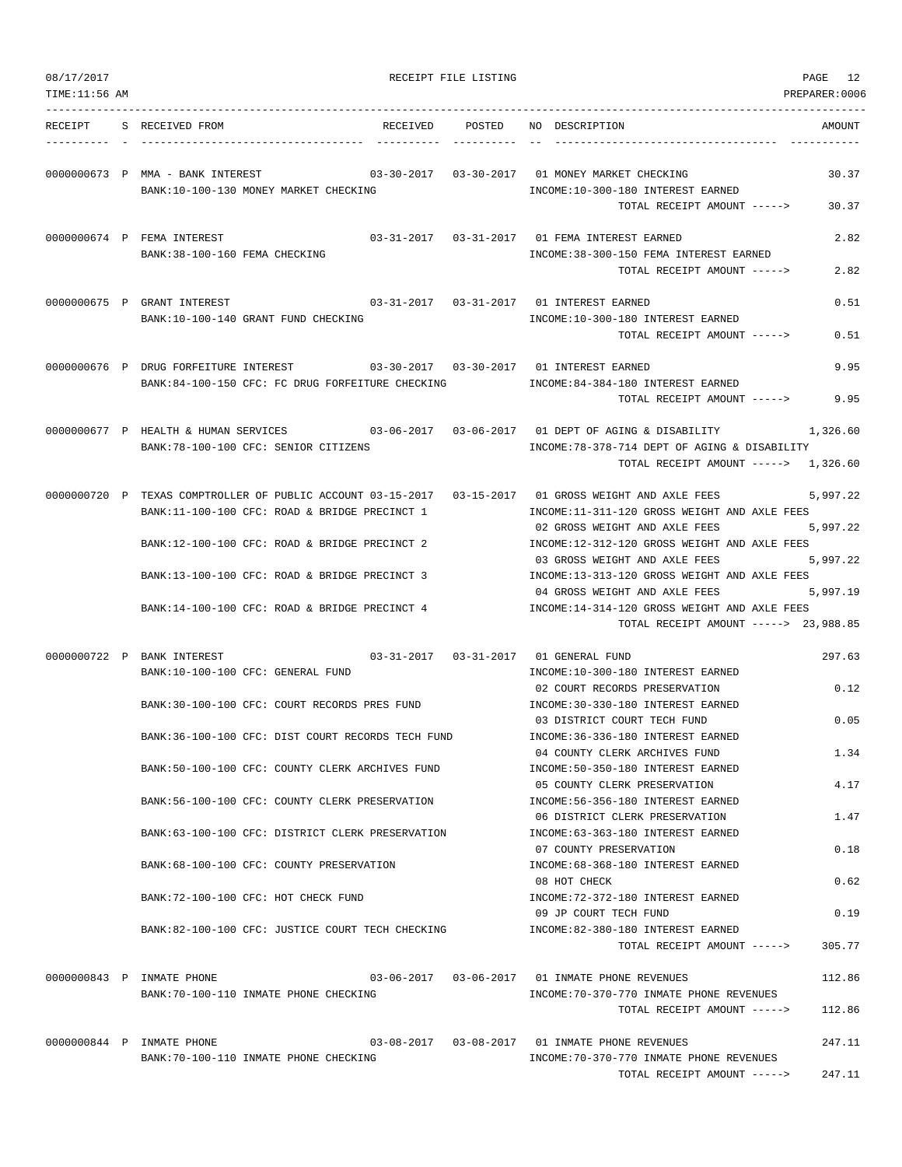| 08/17/2017<br>TIME:11:56 AM |                                                                                                                                                       | RECEIPT FILE LISTING | PAGE 12<br>PREPARER:0006                                                                                                               |
|-----------------------------|-------------------------------------------------------------------------------------------------------------------------------------------------------|----------------------|----------------------------------------------------------------------------------------------------------------------------------------|
| RECEIPT                     | S RECEIVED FROM<br>RECEIVED                                                                                                                           | POSTED               | NO DESCRIPTION<br>AMOUNT                                                                                                               |
|                             |                                                                                                                                                       |                      |                                                                                                                                        |
|                             | 0000000673 P MMA - BANK INTEREST<br>BANK:10-100-130 MONEY MARKET CHECKING                                                                             |                      | 03-30-2017  03-30-2017  01 MONEY MARKET CHECKING<br>30.37<br>INCOME:10-300-180 INTEREST EARNED<br>TOTAL RECEIPT AMOUNT -----><br>30.37 |
|                             | 0000000674 P FEMA INTEREST                                                                                                                            |                      | 03-31-2017  03-31-2017  01 FEMA INTEREST EARNED<br>2.82                                                                                |
|                             | BANK: 38-100-160 FEMA CHECKING                                                                                                                        |                      | INCOME: 38-300-150 FEMA INTEREST EARNED<br>2.82<br>TOTAL RECEIPT AMOUNT ----->                                                         |
|                             | 0000000675 P GRANT INTEREST<br>BANK:10-100-140 GRANT FUND CHECKING                                                                                    |                      | 03-31-2017  03-31-2017  01 INTEREST EARNED<br>0.51<br>INCOME:10-300-180 INTEREST EARNED<br>0.51<br>TOTAL RECEIPT AMOUNT ----->         |
|                             | 0000000676 P DRUG FORFEITURE INTEREST<br>03-30-2017  03-30-2017  01 INTEREST EARNED                                                                   |                      | 9.95                                                                                                                                   |
|                             | BANK:84-100-150 CFC: FC DRUG FORFEITURE CHECKING                                                                                                      |                      | INCOME:84-384-180 INTEREST EARNED<br>TOTAL RECEIPT AMOUNT -----><br>9.95                                                               |
|                             | 0000000677 P HEALTH & HUMAN SERVICES 69-06-2017 03-06-2017 01 DEPT OF AGING & DISABILITY<br>BANK: 78-100-100 CFC: SENIOR CITIZENS                     |                      | 1,326.60<br>INCOME:78-378-714 DEPT OF AGING & DISABILITY<br>TOTAL RECEIPT AMOUNT -----> 1,326.60                                       |
|                             | 0000000720 P TEXAS COMPTROLLER OF PUBLIC ACCOUNT 03-15-2017 03-15-2017 01 GROSS WEIGHT AND AXLE FEES<br>BANK:11-100-100 CFC: ROAD & BRIDGE PRECINCT 1 |                      | 5,997.22<br>INCOME:11-311-120 GROSS WEIGHT AND AXLE FEES                                                                               |
|                             | BANK:12-100-100 CFC: ROAD & BRIDGE PRECINCT 2                                                                                                         |                      | 5,997.22<br>02 GROSS WEIGHT AND AXLE FEES<br>INCOME:12-312-120 GROSS WEIGHT AND AXLE FEES                                              |
|                             | BANK:13-100-100 CFC: ROAD & BRIDGE PRECINCT 3                                                                                                         |                      | 5,997.22<br>03 GROSS WEIGHT AND AXLE FEES<br>INCOME:13-313-120 GROSS WEIGHT AND AXLE FEES                                              |
|                             | BANK:14-100-100 CFC: ROAD & BRIDGE PRECINCT 4                                                                                                         |                      | 04 GROSS WEIGHT AND AXLE FEES<br>5,997.19<br>INCOME:14-314-120 GROSS WEIGHT AND AXLE FEES<br>TOTAL RECEIPT AMOUNT -----> 23,988.85     |
|                             | 0000000722 P BANK INTEREST                                                                                                                            |                      | 03-31-2017  03-31-2017  01 GENERAL FUND<br>297.63                                                                                      |
|                             | BANK:10-100-100 CFC: GENERAL FUND                                                                                                                     |                      | INCOME:10-300-180 INTEREST EARNED<br>0.12<br>02 COURT RECORDS PRESERVATION                                                             |
|                             | BANK:30-100-100 CFC: COURT RECORDS PRES FUND                                                                                                          |                      | INCOME: 30-330-180 INTEREST EARNED<br>03 DISTRICT COURT TECH FUND<br>0.05                                                              |
|                             | BANK: 36-100-100 CFC: DIST COURT RECORDS TECH FUND                                                                                                    |                      | INCOME: 36-336-180 INTEREST EARNED<br>04 COUNTY CLERK ARCHIVES FUND<br>1.34                                                            |
|                             | BANK:50-100-100 CFC: COUNTY CLERK ARCHIVES FUND                                                                                                       |                      | INCOME: 50-350-180 INTEREST EARNED<br>05 COUNTY CLERK PRESERVATION<br>4.17                                                             |
|                             | BANK:56-100-100 CFC: COUNTY CLERK PRESERVATION                                                                                                        |                      | INCOME: 56-356-180 INTEREST EARNED                                                                                                     |
|                             | BANK:63-100-100 CFC: DISTRICT CLERK PRESERVATION                                                                                                      |                      | 06 DISTRICT CLERK PRESERVATION<br>1.47<br>INCOME: 63-363-180 INTEREST EARNED                                                           |
|                             | BANK:68-100-100 CFC: COUNTY PRESERVATION                                                                                                              |                      | 07 COUNTY PRESERVATION<br>0.18<br>INCOME: 68-368-180 INTEREST EARNED                                                                   |
|                             | BANK: 72-100-100 CFC: HOT CHECK FUND                                                                                                                  |                      | 08 HOT CHECK<br>0.62<br>INCOME: 72-372-180 INTEREST EARNED                                                                             |
|                             | BANK:82-100-100 CFC: JUSTICE COURT TECH CHECKING                                                                                                      |                      | 0.19<br>09 JP COURT TECH FUND<br>INCOME:82-380-180 INTEREST EARNED<br>305.77<br>TOTAL RECEIPT AMOUNT ----->                            |
|                             |                                                                                                                                                       |                      |                                                                                                                                        |
|                             | 0000000843 P INMATE PHONE<br>BANK:70-100-110 INMATE PHONE CHECKING                                                                                    |                      | 03-06-2017  03-06-2017  01 INMATE PHONE REVENUES<br>112.86<br>INCOME: 70-370-770 INMATE PHONE REVENUES                                 |
|                             |                                                                                                                                                       |                      | TOTAL RECEIPT AMOUNT -----><br>112.86                                                                                                  |
|                             | 0000000844 P INMATE PHONE<br>BANK: 70-100-110 INMATE PHONE CHECKING                                                                                   |                      | 03-08-2017  03-08-2017  01 INMATE PHONE REVENUES<br>247.11<br>INCOME: 70-370-770 INMATE PHONE REVENUES                                 |
|                             |                                                                                                                                                       |                      | TOTAL RECEIPT AMOUNT -----><br>247.11                                                                                                  |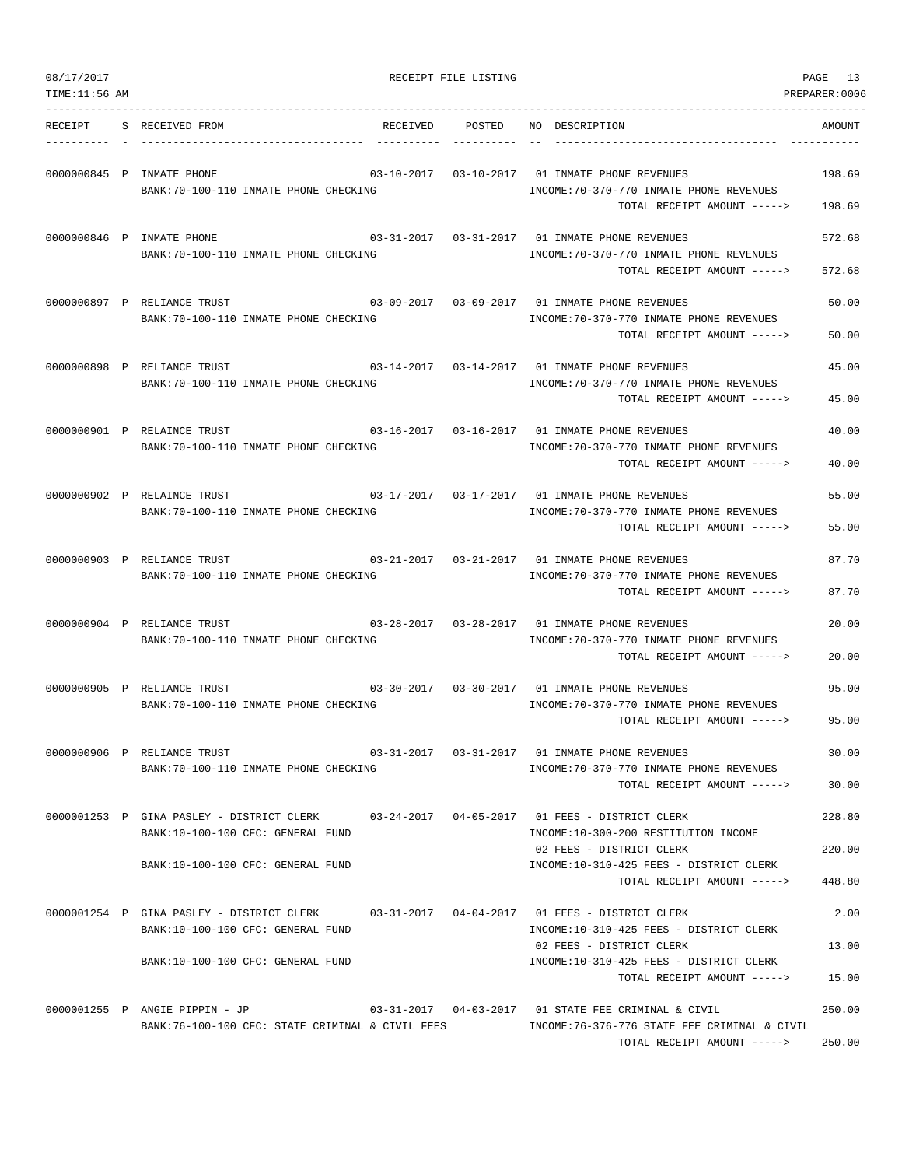| 08/17/2017<br>TIME: 11:56 AM |                                                                                                                               | RECEIPT FILE LISTING              |                                                                                                                                      | PAGE 13<br>PREPARER:0006 |
|------------------------------|-------------------------------------------------------------------------------------------------------------------------------|-----------------------------------|--------------------------------------------------------------------------------------------------------------------------------------|--------------------------|
|                              | RECEIPT S RECEIVED FROM                                                                                                       |                                   | RECEIVED POSTED NO DESCRIPTION                                                                                                       | AMOUNT                   |
|                              | 0000000845 P INMATE PHONE<br>BANK:70-100-110 INMATE PHONE CHECKING                                                            | $03 - 10 - 2017$ $03 - 10 - 2017$ | 01 INMATE PHONE REVENUES<br>INCOME: 70-370-770 INMATE PHONE REVENUES<br>TOTAL RECEIPT AMOUNT ----->                                  | 198.69<br>198.69         |
|                              | 0000000846 P INMATE PHONE<br>BANK:70-100-110 INMATE PHONE CHECKING                                                            | 03-31-2017  03-31-2017            | 01 INMATE PHONE REVENUES<br>INCOME: 70-370-770 INMATE PHONE REVENUES<br>TOTAL RECEIPT AMOUNT ----->                                  | 572.68<br>572.68         |
|                              | 0000000897 P RELIANCE TRUST<br>BANK:70-100-110 INMATE PHONE CHECKING                                                          |                                   | 03-09-2017   03-09-2017   01 INMATE PHONE REVENUES<br>INCOME: 70-370-770 INMATE PHONE REVENUES<br>TOTAL RECEIPT AMOUNT ----->        | 50.00<br>50.00           |
|                              | 0000000898 P RELIANCE TRUST<br>BANK:70-100-110 INMATE PHONE CHECKING                                                          |                                   | 03-14-2017   03-14-2017   01 INMATE PHONE REVENUES<br>INCOME: 70-370-770 INMATE PHONE REVENUES<br>TOTAL RECEIPT AMOUNT ----->        | 45.00<br>45.00           |
|                              | 0000000901 P RELAINCE TRUST<br>BANK:70-100-110 INMATE PHONE CHECKING                                                          | 03-16-2017  03-16-2017            | 01 INMATE PHONE REVENUES<br>INCOME: 70-370-770 INMATE PHONE REVENUES<br>TOTAL RECEIPT AMOUNT ----->                                  | 40.00<br>40.00           |
|                              | 0000000902 P RELAINCE TRUST<br>BANK:70-100-110 INMATE PHONE CHECKING                                                          |                                   | INCOME: 70-370-770 INMATE PHONE REVENUES<br>TOTAL RECEIPT AMOUNT ----->                                                              | 55.00<br>55.00           |
|                              | 0000000903 P RELIANCE TRUST<br>BANK: 70-100-110 INMATE PHONE CHECKING                                                         |                                   | INCOME: 70-370-770 INMATE PHONE REVENUES<br>TOTAL RECEIPT AMOUNT ----->                                                              | 87.70<br>87.70           |
|                              | 0000000904 P RELIANCE TRUST<br>BANK:70-100-110 INMATE PHONE CHECKING                                                          |                                   | 03-28-2017 03-28-2017 01 INMATE PHONE REVENUES<br>INCOME: 70-370-770 INMATE PHONE REVENUES<br>TOTAL RECEIPT AMOUNT ----->            | 20.00<br>20.00           |
|                              | 0000000905 P RELIANCE TRUST<br>BANK:70-100-110 INMATE PHONE CHECKING                                                          |                                   | 03-30-2017 03-30-2017 01 INMATE PHONE REVENUES<br>INCOME: 70-370-770 INMATE PHONE REVENUES<br>TOTAL RECEIPT AMOUNT ----->            | 95.00<br>95.00           |
|                              | 0000000906 P RELIANCE TRUST<br>BANK:70-100-110 INMATE PHONE CHECKING                                                          |                                   | INCOME: 70-370-770 INMATE PHONE REVENUES<br>TOTAL RECEIPT AMOUNT ----->                                                              | 30.00<br>30.00           |
|                              | 0000001253 P GINA PASLEY - DISTRICT CLERK 03-24-2017 04-05-2017 01 FEES - DISTRICT CLERK<br>BANK:10-100-100 CFC: GENERAL FUND |                                   | INCOME:10-300-200 RESTITUTION INCOME<br>02 FEES - DISTRICT CLERK                                                                     | 228.80<br>220.00         |
|                              | BANK:10-100-100 CFC: GENERAL FUND                                                                                             |                                   | INCOME:10-310-425 FEES - DISTRICT CLERK<br>TOTAL RECEIPT AMOUNT ----->                                                               | 448.80                   |
|                              | 0000001254 P GINA PASLEY - DISTRICT CLERK 03-31-2017 04-04-2017 01 FEES - DISTRICT CLERK<br>BANK:10-100-100 CFC: GENERAL FUND |                                   | INCOME:10-310-425 FEES - DISTRICT CLERK<br>02 FEES - DISTRICT CLERK                                                                  | 2.00<br>13.00            |
|                              | BANK:10-100-100 CFC: GENERAL FUND                                                                                             |                                   | INCOME:10-310-425 FEES - DISTRICT CLERK<br>TOTAL RECEIPT AMOUNT ----->                                                               | 15.00                    |
|                              | 0000001255 P ANGIE PIPPIN - JP<br>BANK:76-100-100 CFC: STATE CRIMINAL & CIVIL FEES                                            |                                   | 03-31-2017  04-03-2017  01 STATE FEE CRIMINAL & CIVIL<br>INCOME:76-376-776 STATE FEE CRIMINAL & CIVIL<br>TOTAL RECEIPT AMOUNT -----> | 250.00<br>250.00         |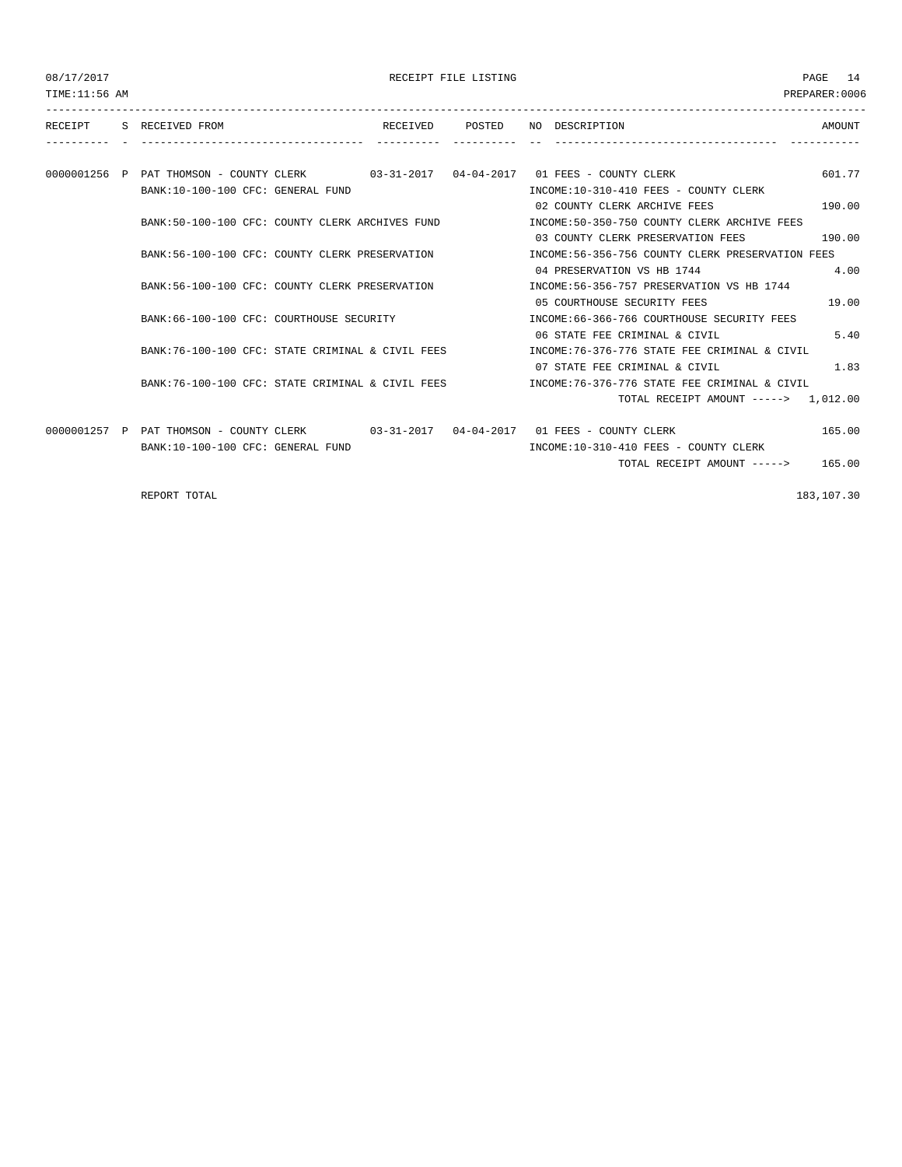| 08/17/2017 |  |
|------------|--|
|------------|--|

| 08/17/2017<br>TIME: 11:56 AM |                                                                                      |  | RECEIPT FILE LISTING |                               |                                                                                      | PAGE<br><b>14</b><br>PREPARER: 0006 |
|------------------------------|--------------------------------------------------------------------------------------|--|----------------------|-------------------------------|--------------------------------------------------------------------------------------|-------------------------------------|
|                              | RECEIPT S RECEIVED FROM                                                              |  | RECEIVED POSTED      | NO DESCRIPTION                |                                                                                      | AMOUNT                              |
|                              |                                                                                      |  |                      |                               |                                                                                      |                                     |
|                              | 0000001256 P PAT THOMSON - COUNTY CLERK 03-31-2017 04-04-2017 01 FEES - COUNTY CLERK |  |                      |                               |                                                                                      | 601.77                              |
|                              | BANK:10-100-100 CFC: GENERAL FUND                                                    |  |                      |                               | INCOME:10-310-410 FEES - COUNTY CLERK                                                |                                     |
|                              |                                                                                      |  |                      | 02 COUNTY CLERK ARCHIVE FEES  |                                                                                      | 190.00                              |
|                              | BANK:50-100-100 CFC: COUNTY CLERK ARCHIVES FUND                                      |  |                      |                               | INCOME:50-350-750 COUNTY CLERK ARCHIVE FEES                                          |                                     |
|                              |                                                                                      |  |                      |                               | 03 COUNTY CLERK PRESERVATION FEES                                                    | 190.00                              |
|                              | BANK:56-100-100 CFC: COUNTY CLERK PRESERVATION                                       |  |                      |                               | INCOME:56-356-756 COUNTY CLERK PRESERVATION FEES                                     |                                     |
|                              |                                                                                      |  |                      | 04 PRESERVATION VS HB 1744    |                                                                                      | 4.00                                |
|                              | BANK:56-100-100 CFC: COUNTY CLERK PRESERVATION                                       |  |                      |                               | INCOME:56-356-757 PRESERVATION VS HB 1744                                            |                                     |
|                              |                                                                                      |  |                      | 05 COURTHOUSE SECURITY FEES   |                                                                                      | 19.00                               |
|                              | BANK:66-100-100 CFC: COURTHOUSE SECURITY                                             |  |                      |                               | INCOME: 66-366-766 COURTHOUSE SECURITY FEES                                          |                                     |
|                              |                                                                                      |  |                      | 06 STATE FEE CRIMINAL & CIVIL |                                                                                      | 5.40                                |
|                              | BANK:76-100-100 CFC: STATE CRIMINAL & CIVIL FEES                                     |  |                      |                               | INCOME: 76-376-776 STATE FEE CRIMINAL & CIVIL                                        |                                     |
|                              |                                                                                      |  |                      | 07 STATE FEE CRIMINAL & CIVIL |                                                                                      | 1.83                                |
|                              | BANK:76-100-100 CFC: STATE CRIMINAL & CIVIL FEES                                     |  |                      |                               | INCOME: 76-376-776 STATE FEE CRIMINAL & CIVIL                                        |                                     |
|                              |                                                                                      |  |                      |                               | TOTAL RECEIPT AMOUNT -----> 1,012.00                                                 |                                     |
|                              |                                                                                      |  |                      |                               | 0000001257 P PAT THOMSON - COUNTY CLERK 03-31-2017 04-04-2017 01 FEES - COUNTY CLERK | 165.00                              |
|                              | BANK:10-100-100 CFC: GENERAL FUND                                                    |  |                      |                               | INCOME:10-310-410 FEES - COUNTY CLERK                                                |                                     |
|                              |                                                                                      |  |                      |                               | TOTAL RECEIPT AMOUNT -----> 165.00                                                   |                                     |

REPORT TOTAL 183,107.30